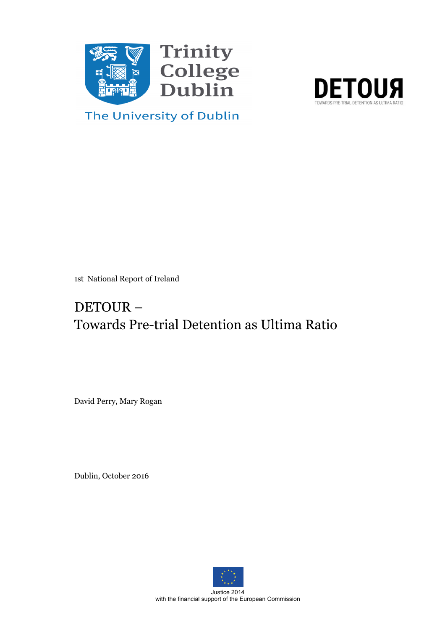



The University of Dublin

1st National Report of Ireland

# DETOUR – Towards Pre-trial Detention as Ultima Ratio

David Perry, Mary Rogan

Dublin, October 2016



Justice 2014 with the financial support of the European Commission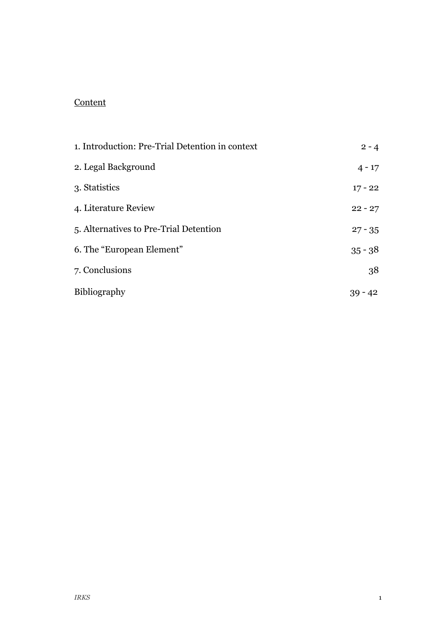# **Content**

| 1. Introduction: Pre-Trial Detention in context | $2 - 4$   |
|-------------------------------------------------|-----------|
| 2. Legal Background                             | $4 - 17$  |
| 3. Statistics                                   | $17 - 22$ |
| 4. Literature Review                            | $22 - 27$ |
| 5. Alternatives to Pre-Trial Detention          | $27 - 35$ |
| 6. The "European Element"                       | $35 - 38$ |
| 7. Conclusions                                  | 38        |
| Bibliography                                    | $39 - 42$ |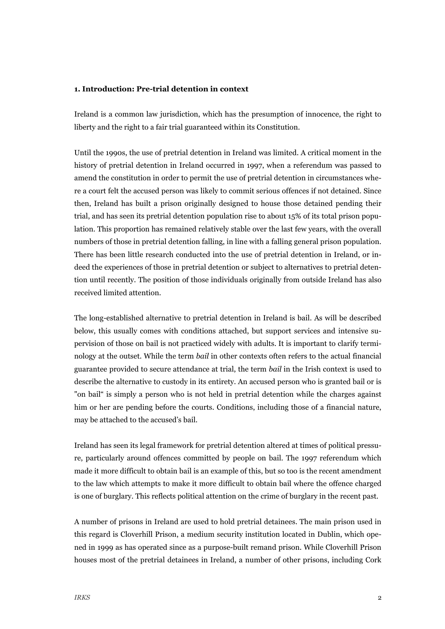#### **1. Introduction: Pre-trial detention in context**

Ireland is a common law jurisdiction, which has the presumption of innocence, the right to liberty and the right to a fair trial guaranteed within its Constitution.

Until the 1990s, the use of pretrial detention in Ireland was limited. A critical moment in the history of pretrial detention in Ireland occurred in 1997, when a referendum was passed to amend the constitution in order to permit the use of pretrial detention in circumstances where a court felt the accused person was likely to commit serious offences if not detained. Since then, Ireland has built a prison originally designed to house those detained pending their trial, and has seen its pretrial detention population rise to about 15% of its total prison population. This proportion has remained relatively stable over the last few years, with the overall numbers of those in pretrial detention falling, in line with a falling general prison population. There has been little research conducted into the use of pretrial detention in Ireland, or indeed the experiences of those in pretrial detention or subject to alternatives to pretrial detention until recently. The position of those individuals originally from outside Ireland has also received limited attention.

The long-established alternative to pretrial detention in Ireland is bail. As will be described below, this usually comes with conditions attached, but support services and intensive supervision of those on bail is not practiced widely with adults. It is important to clarify terminology at the outset. While the term *bail* in other contexts often refers to the actual financial guarantee provided to secure attendance at trial, the term *bail* in the Irish context is used to describe the alternative to custody in its entirety. An accused person who is granted bail or is "on bail" is simply a person who is not held in pretrial detention while the charges against him or her are pending before the courts. Conditions, including those of a financial nature, may be attached to the accused's bail.

Ireland has seen its legal framework for pretrial detention altered at times of political pressure, particularly around offences committed by people on bail. The 1997 referendum which made it more difficult to obtain bail is an example of this, but so too is the recent amendment to the law which attempts to make it more difficult to obtain bail where the offence charged is one of burglary. This reflects political attention on the crime of burglary in the recent past.

A number of prisons in Ireland are used to hold pretrial detainees. The main prison used in this regard is Cloverhill Prison, a medium security institution located in Dublin, which opened in 1999 as has operated since as a purpose-built remand prison. While Cloverhill Prison houses most of the pretrial detainees in Ireland, a number of other prisons, including Cork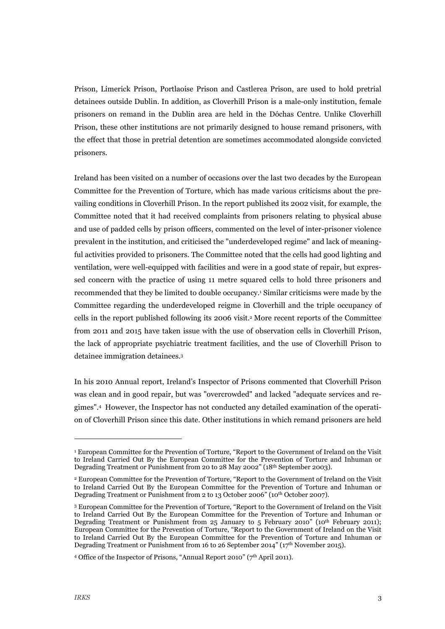Prison, Limerick Prison, Portlaoise Prison and Castlerea Prison, are used to hold pretrial detainees outside Dublin. In addition, as Cloverhill Prison is a male-only institution, female prisoners on remand in the Dublin area are held in the Dóchas Centre. Unlike Cloverhill Prison, these other institutions are not primarily designed to house remand prisoners, with the effect that those in pretrial detention are sometimes accommodated alongside convicted prisoners.

Ireland has been visited on a number of occasions over the last two decades by the European Committee for the Prevention of Torture, which has made various criticisms about the prevailing conditions in Cloverhill Prison. In the report published its 2002 visit, for example, the Committee noted that it had received complaints from prisoners relating to physical abuse and use of padded cells by prison officers, commented on the level of inter-prisoner violence prevalent in the institution, and criticised the "underdeveloped regime" and lack of meaningful activities provided to prisoners. The Committee noted that the cells had good lighting and ventilation, were well-equipped with facilities and were in a good state of repair, but expressed concern with the practice of using 11 metre squared cells to hold three prisoners and recommended that they be limited to double occupancy.1 Similar criticisms were made by the Committee regarding the underdeveloped reigme in Cloverhill and the triple occupancy of cells in the report published following its 2006 visit.2 More recent reports of the Committee from 2011 and 2015 have taken issue with the use of observation cells in Cloverhill Prison, the lack of appropriate psychiatric treatment facilities, and the use of Cloverhill Prison to detainee immigration detainees.3

In his 2010 Annual report, Ireland's Inspector of Prisons commented that Cloverhill Prison was clean and in good repair, but was "overcrowded" and lacked "adequate services and regimes".4 However, the Inspector has not conducted any detailed examination of the operation of Cloverhill Prison since this date. Other institutions in which remand prisoners are held

-

<sup>&</sup>lt;sup>1</sup> European Committee for the Prevention of Torture, "Report to the Government of Ireland on the Visit to Ireland Carried Out By the European Committee for the Prevention of Torture and Inhuman or Degrading Treatment or Punishment from 20 to 28 May 2002" (18th September 2003).

<sup>2</sup> European Committee for the Prevention of Torture, "Report to the Government of Ireland on the Visit to Ireland Carried Out By the European Committee for the Prevention of Torture and Inhuman or Degrading Treatment or Punishment from 2 to 13 October 2006" (10th October 2007).

<sup>3</sup> European Committee for the Prevention of Torture, "Report to the Government of Ireland on the Visit to Ireland Carried Out By the European Committee for the Prevention of Torture and Inhuman or Degrading Treatment or Punishment from 25 January to 5 February 2010" (10<sup>th</sup> February 2011); European Committee for the Prevention of Torture, "Report to the Government of Ireland on the Visit to Ireland Carried Out By the European Committee for the Prevention of Torture and Inhuman or Degrading Treatment or Punishment from 16 to 26 September 2014" (17th November 2015).

<sup>4</sup> Office of the Inspector of Prisons, "Annual Report 2010" (7th April 2011).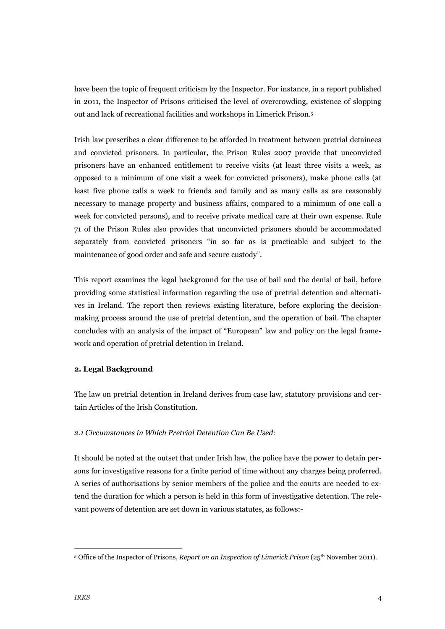have been the topic of frequent criticism by the Inspector. For instance, in a report published in 2011, the Inspector of Prisons criticised the level of overcrowding, existence of slopping out and lack of recreational facilities and workshops in Limerick Prison.5

Irish law prescribes a clear difference to be afforded in treatment between pretrial detainees and convicted prisoners. In particular, the Prison Rules 2007 provide that unconvicted prisoners have an enhanced entitlement to receive visits (at least three visits a week, as opposed to a minimum of one visit a week for convicted prisoners), make phone calls (at least five phone calls a week to friends and family and as many calls as are reasonably necessary to manage property and business affairs, compared to a minimum of one call a week for convicted persons), and to receive private medical care at their own expense. Rule 71 of the Prison Rules also provides that unconvicted prisoners should be accommodated separately from convicted prisoners "in so far as is practicable and subject to the maintenance of good order and safe and secure custody".

This report examines the legal background for the use of bail and the denial of bail, before providing some statistical information regarding the use of pretrial detention and alternatives in Ireland. The report then reviews existing literature, before exploring the decisionmaking process around the use of pretrial detention, and the operation of bail. The chapter concludes with an analysis of the impact of "European" law and policy on the legal framework and operation of pretrial detention in Ireland.

#### **2. Legal Background**

The law on pretrial detention in Ireland derives from case law, statutory provisions and certain Articles of the Irish Constitution.

#### *2.1 Circumstances in Which Pretrial Detention Can Be Used:*

It should be noted at the outset that under Irish law, the police have the power to detain persons for investigative reasons for a finite period of time without any charges being proferred. A series of authorisations by senior members of the police and the courts are needed to extend the duration for which a person is held in this form of investigative detention. The relevant powers of detention are set down in various statutes, as follows:-

 <sup>5</sup> Office of the Inspector of Prisons, *Report on an Inspection of Limerick Prison* (25th November 2011).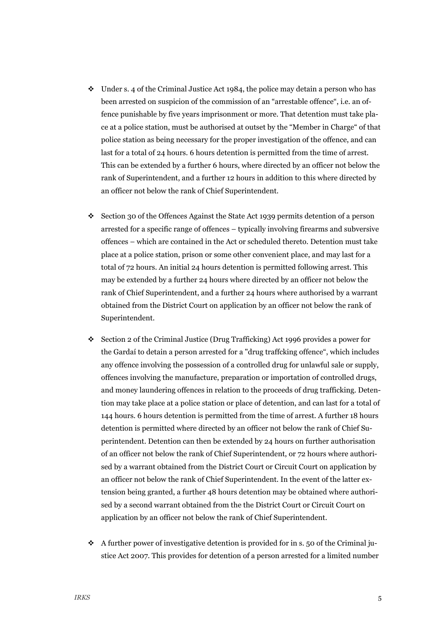- $\cdot$  Under s. 4 of the Criminal Justice Act 1984, the police may detain a person who has been arrested on suspicion of the commission of an "arrestable offence", i.e. an offence punishable by five years imprisonment or more. That detention must take place at a police station, must be authorised at outset by the "Member in Charge" of that police station as being necessary for the proper investigation of the offence, and can last for a total of 24 hours. 6 hours detention is permitted from the time of arrest. This can be extended by a further 6 hours, where directed by an officer not below the rank of Superintendent, and a further 12 hours in addition to this where directed by an officer not below the rank of Chief Superintendent.
- ! Section 30 of the Offences Against the State Act 1939 permits detention of a person arrested for a specific range of offences – typically involving firearms and subversive offences – which are contained in the Act or scheduled thereto. Detention must take place at a police station, prison or some other convenient place, and may last for a total of 72 hours. An initial 24 hours detention is permitted following arrest. This may be extended by a further 24 hours where directed by an officer not below the rank of Chief Superintendent, and a further 24 hours where authorised by a warrant obtained from the District Court on application by an officer not below the rank of Superintendent.
- ! Section 2 of the Criminal Justice (Drug Trafficking) Act 1996 provides a power for the Gardaí to detain a person arrested for a "drug traffcking offence", which includes any offence involving the possession of a controlled drug for unlawful sale or supply, offences involving the manufacture, preparation or importation of controlled drugs, and money laundering offences in relation to the proceeds of drug trafficking. Detention may take place at a police station or place of detention, and can last for a total of 144 hours. 6 hours detention is permitted from the time of arrest. A further 18 hours detention is permitted where directed by an officer not below the rank of Chief Superintendent. Detention can then be extended by 24 hours on further authorisation of an officer not below the rank of Chief Superintendent, or 72 hours where authorised by a warrant obtained from the District Court or Circuit Court on application by an officer not below the rank of Chief Superintendent. In the event of the latter extension being granted, a further 48 hours detention may be obtained where authorised by a second warrant obtained from the the District Court or Circuit Court on application by an officer not below the rank of Chief Superintendent.
- $\cdot$  A further power of investigative detention is provided for in s. 50 of the Criminal justice Act 2007. This provides for detention of a person arrested for a limited number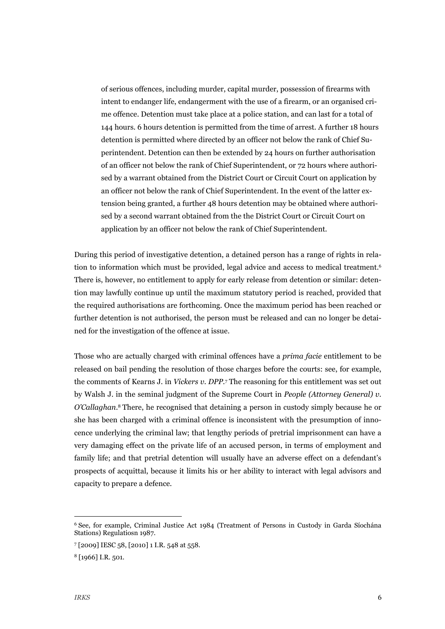of serious offences, including murder, capital murder, possession of firearms with intent to endanger life, endangerment with the use of a firearm, or an organised crime offence. Detention must take place at a police station, and can last for a total of 144 hours. 6 hours detention is permitted from the time of arrest. A further 18 hours detention is permitted where directed by an officer not below the rank of Chief Superintendent. Detention can then be extended by 24 hours on further authorisation of an officer not below the rank of Chief Superintendent, or 72 hours where authorised by a warrant obtained from the District Court or Circuit Court on application by an officer not below the rank of Chief Superintendent. In the event of the latter extension being granted, a further 48 hours detention may be obtained where authorised by a second warrant obtained from the the District Court or Circuit Court on application by an officer not below the rank of Chief Superintendent.

During this period of investigative detention, a detained person has a range of rights in relation to information which must be provided, legal advice and access to medical treatment.6 There is, however, no entitlement to apply for early release from detention or similar: detention may lawfully continue up until the maximum statutory period is reached, provided that the required authorisations are forthcoming. Once the maximum period has been reached or further detention is not authorised, the person must be released and can no longer be detained for the investigation of the offence at issue.

Those who are actually charged with criminal offences have a *prima facie* entitlement to be released on bail pending the resolution of those charges before the courts: see, for example, the comments of Kearns J. in *Vickers v. DPP.*<sup>7</sup> The reasoning for this entitlement was set out by Walsh J. in the seminal judgment of the Supreme Court in *People (Attorney General) v. O'Callaghan.*<sup>8</sup> There, he recognised that detaining a person in custody simply because he or she has been charged with a criminal offence is inconsistent with the presumption of innocence underlying the criminal law; that lengthy periods of pretrial imprisonment can have a very damaging effect on the private life of an accused person, in terms of employment and family life; and that pretrial detention will usually have an adverse effect on a defendant's prospects of acquittal, because it limits his or her ability to interact with legal advisors and capacity to prepare a defence.

 <sup>6</sup> See, for example, Criminal Justice Act 1984 (Treatment of Persons in Custody in Garda Síochána Stations) Regulatiosn 1987.

<sup>7</sup> [2009] IESC 58, [2010] 1 I.R. 548 at 558.

<sup>8</sup> [1966] I.R. 501.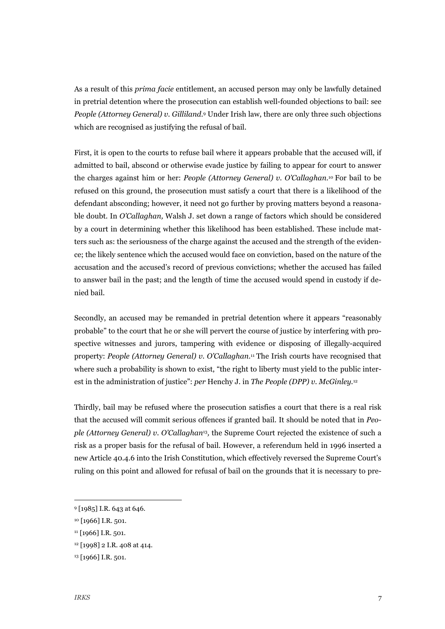As a result of this *prima facie* entitlement, an accused person may only be lawfully detained in pretrial detention where the prosecution can establish well-founded objections to bail: see *People (Attorney General) v. Gilliland.*<sup>9</sup> Under Irish law, there are only three such objections which are recognised as justifying the refusal of bail.

First, it is open to the courts to refuse bail where it appears probable that the accused will, if admitted to bail, abscond or otherwise evade justice by failing to appear for court to answer the charges against him or her: *People (Attorney General) v. O'Callaghan.*<sup>10</sup> For bail to be refused on this ground, the prosecution must satisfy a court that there is a likelihood of the defendant absconding; however, it need not go further by proving matters beyond a reasonable doubt. In *O'Callaghan,* Walsh J. set down a range of factors which should be considered by a court in determining whether this likelihood has been established. These include matters such as: the seriousness of the charge against the accused and the strength of the evidence; the likely sentence which the accused would face on conviction, based on the nature of the accusation and the accused's record of previous convictions; whether the accused has failed to answer bail in the past; and the length of time the accused would spend in custody if denied bail.

Secondly, an accused may be remanded in pretrial detention where it appears "reasonably probable" to the court that he or she will pervert the course of justice by interfering with prospective witnesses and jurors, tampering with evidence or disposing of illegally-acquired property: *People (Attorney General) v. O'Callaghan.*<sup>11</sup> The Irish courts have recognised that where such a probability is shown to exist, "the right to liberty must yield to the public interest in the administration of justice": *per* Henchy J. in *The People (DPP) v. McGinley.*<sup>12</sup>

Thirdly, bail may be refused where the prosecution satisfies a court that there is a real risk that the accused will commit serious offences if granted bail. It should be noted that in *People (Attorney General) v. O'Callaghan*13*,* the Supreme Court rejected the existence of such a risk as a proper basis for the refusal of bail. However, a referendum held in 1996 inserted a new Article 40.4.6 into the Irish Constitution, which effectively reversed the Supreme Court's ruling on this point and allowed for refusal of bail on the grounds that it is necessary to pre-

 <sup>9</sup> [1985] I.R. 643 at 646.

<sup>&</sup>lt;sup>10</sup> [1966] I.R. 501.

<sup>&</sup>lt;sup>11</sup> [1966] I.R. 501.

<sup>12</sup> [1998] 2 I.R. 408 at 414.

<sup>13</sup> [1966] I.R. 501.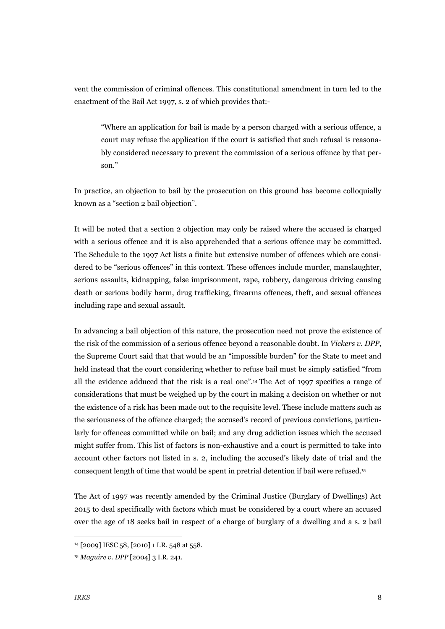vent the commission of criminal offences. This constitutional amendment in turn led to the enactment of the Bail Act 1997, s. 2 of which provides that:-

"Where an application for bail is made by a person charged with a serious offence, a court may refuse the application if the court is satisfied that such refusal is reasonably considered necessary to prevent the commission of a serious offence by that person."

In practice, an objection to bail by the prosecution on this ground has become colloquially known as a "section 2 bail objection".

It will be noted that a section 2 objection may only be raised where the accused is charged with a serious offence and it is also apprehended that a serious offence may be committed. The Schedule to the 1997 Act lists a finite but extensive number of offences which are considered to be "serious offences" in this context. These offences include murder, manslaughter, serious assaults, kidnapping, false imprisonment, rape, robbery, dangerous driving causing death or serious bodily harm, drug trafficking, firearms offences, theft, and sexual offences including rape and sexual assault.

In advancing a bail objection of this nature, the prosecution need not prove the existence of the risk of the commission of a serious offence beyond a reasonable doubt. In *Vickers v. DPP*, the Supreme Court said that that would be an "impossible burden" for the State to meet and held instead that the court considering whether to refuse bail must be simply satisfied "from all the evidence adduced that the risk is a real one".14 The Act of 1997 specifies a range of considerations that must be weighed up by the court in making a decision on whether or not the existence of a risk has been made out to the requisite level. These include matters such as the seriousness of the offence charged; the accused's record of previous convictions, particularly for offences committed while on bail; and any drug addiction issues which the accused might suffer from. This list of factors is non-exhaustive and a court is permitted to take into account other factors not listed in s. 2, including the accused's likely date of trial and the consequent length of time that would be spent in pretrial detention if bail were refused.15

The Act of 1997 was recently amended by the Criminal Justice (Burglary of Dwellings) Act 2015 to deal specifically with factors which must be considered by a court where an accused over the age of 18 seeks bail in respect of a charge of burglary of a dwelling and a s. 2 bail

 <sup>14 [2009]</sup> IESC 58, [2010] 1 I.R. 548 at 558.

<sup>15</sup> *Maguire v. DPP* [2004] 3 I.R. 241.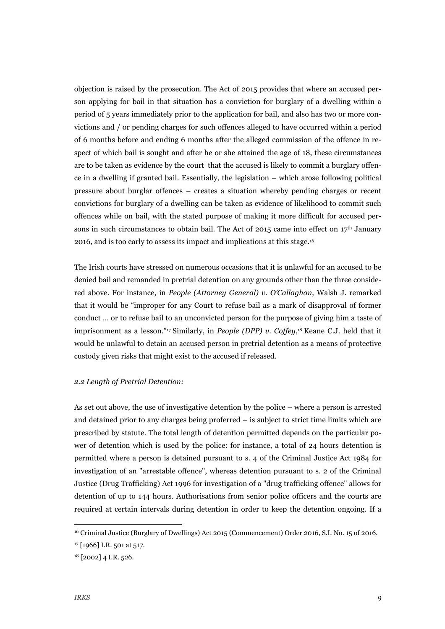objection is raised by the prosecution. The Act of 2015 provides that where an accused person applying for bail in that situation has a conviction for burglary of a dwelling within a period of 5 years immediately prior to the application for bail, and also has two or more convictions and / or pending charges for such offences alleged to have occurred within a period of 6 months before and ending 6 months after the alleged commission of the offence in respect of which bail is sought and after he or she attained the age of 18, these circumstances are to be taken as evidence by the court that the accused is likely to commit a burglary offence in a dwelling if granted bail. Essentially, the legislation – which arose following political pressure about burglar offences – creates a situation whereby pending charges or recent convictions for burglary of a dwelling can be taken as evidence of likelihood to commit such offences while on bail, with the stated purpose of making it more difficult for accused persons in such circumstances to obtain bail. The Act of 2015 came into effect on  $17<sup>th</sup>$  January 2016, and is too early to assess its impact and implications at this stage.16

The Irish courts have stressed on numerous occasions that it is unlawful for an accused to be denied bail and remanded in pretrial detention on any grounds other than the three considered above. For instance, in *People (Attorney General) v. O'Callaghan,* Walsh J. remarked that it would be "improper for any Court to refuse bail as a mark of disapproval of former conduct … or to refuse bail to an unconvicted person for the purpose of giving him a taste of imprisonment as a lesson."17 Similarly, in *People (DPP) v. Coffey*,18 Keane C.J. held that it would be unlawful to detain an accused person in pretrial detention as a means of protective custody given risks that might exist to the accused if released.

#### *2.2 Length of Pretrial Detention:*

As set out above, the use of investigative detention by the police – where a person is arrested and detained prior to any charges being proferred – is subject to strict time limits which are prescribed by statute. The total length of detention permitted depends on the particular power of detention which is used by the police: for instance, a total of 24 hours detention is permitted where a person is detained pursuant to s. 4 of the Criminal Justice Act 1984 for investigation of an "arrestable offence", whereas detention pursuant to s. 2 of the Criminal Justice (Drug Trafficking) Act 1996 for investigation of a "drug trafficking offence" allows for detention of up to 144 hours. Authorisations from senior police officers and the courts are required at certain intervals during detention in order to keep the detention ongoing. If a

 <sup>16</sup> Criminal Justice (Burglary of Dwellings) Act 2015 (Commencement) Order 2016, S.I. No. 15 of 2016.

<sup>17</sup> [1966] I.R. 501 at 517.

<sup>18</sup> [2002] 4 I.R. 526.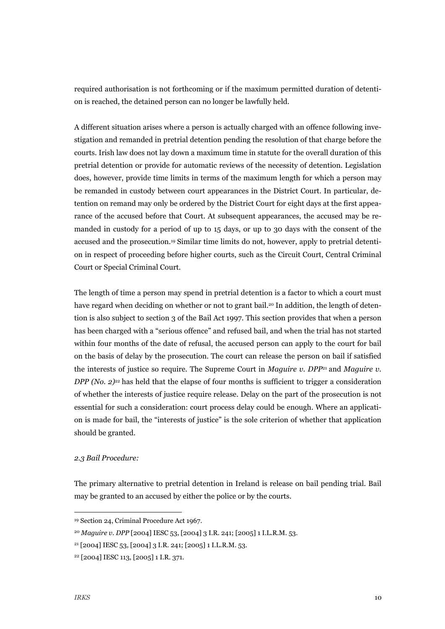required authorisation is not forthcoming or if the maximum permitted duration of detention is reached, the detained person can no longer be lawfully held.

A different situation arises where a person is actually charged with an offence following investigation and remanded in pretrial detention pending the resolution of that charge before the courts. Irish law does not lay down a maximum time in statute for the overall duration of this pretrial detention or provide for automatic reviews of the necessity of detention. Legislation does, however, provide time limits in terms of the maximum length for which a person may be remanded in custody between court appearances in the District Court. In particular, detention on remand may only be ordered by the District Court for eight days at the first appearance of the accused before that Court. At subsequent appearances, the accused may be remanded in custody for a period of up to 15 days, or up to 30 days with the consent of the accused and the prosecution.19 Similar time limits do not, however, apply to pretrial detention in respect of proceeding before higher courts, such as the Circuit Court, Central Criminal Court or Special Criminal Court.

The length of time a person may spend in pretrial detention is a factor to which a court must have regard when deciding on whether or not to grant bail.<sup>20</sup> In addition, the length of detention is also subject to section 3 of the Bail Act 1997. This section provides that when a person has been charged with a "serious offence" and refused bail, and when the trial has not started within four months of the date of refusal, the accused person can apply to the court for bail on the basis of delay by the prosecution. The court can release the person on bail if satisfied the interests of justice so require. The Supreme Court in *Maguire v. DPP*21 and *Maguire v. DPP (No. 2)<sup>22</sup>* has held that the elapse of four months is sufficient to trigger a consideration of whether the interests of justice require release. Delay on the part of the prosecution is not essential for such a consideration: court process delay could be enough. Where an application is made for bail, the "interests of justice" is the sole criterion of whether that application should be granted.

#### *2.3 Bail Procedure:*

The primary alternative to pretrial detention in Ireland is release on bail pending trial. Bail may be granted to an accused by either the police or by the courts.

 <sup>19</sup> Section 24, Criminal Procedure Act 1967.

<sup>20</sup> *Maguire v. DPP* [2004] IESC 53, [2004] 3 I.R. 241; [2005] 1 I.L.R.M. 53.

 $21$  [2004] IESC 53, [2004] 3 I.R. 241; [2005] 1 I.L.R.M. 53.

<sup>22 [2004]</sup> IESC 113, [2005] 1 I.R. 371.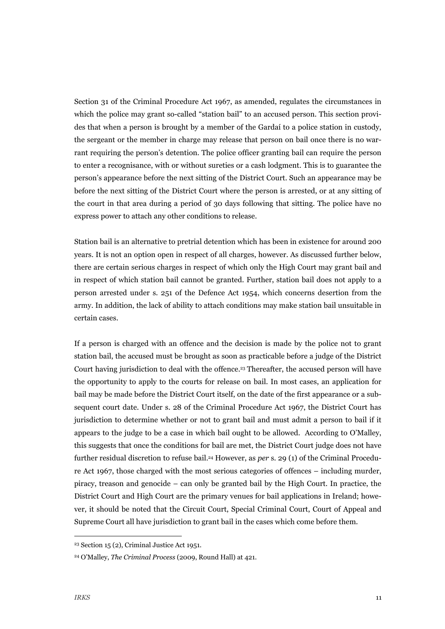Section 31 of the Criminal Procedure Act 1967, as amended, regulates the circumstances in which the police may grant so-called "station bail" to an accused person. This section provides that when a person is brought by a member of the Gardaí to a police station in custody, the sergeant or the member in charge may release that person on bail once there is no warrant requiring the person's detention. The police officer granting bail can require the person to enter a recognisance, with or without sureties or a cash lodgment. This is to guarantee the person's appearance before the next sitting of the District Court. Such an appearance may be before the next sitting of the District Court where the person is arrested, or at any sitting of the court in that area during a period of 30 days following that sitting. The police have no express power to attach any other conditions to release.

Station bail is an alternative to pretrial detention which has been in existence for around 200 years. It is not an option open in respect of all charges, however. As discussed further below, there are certain serious charges in respect of which only the High Court may grant bail and in respect of which station bail cannot be granted. Further, station bail does not apply to a person arrested under s. 251 of the Defence Act 1954, which concerns desertion from the army. In addition, the lack of ability to attach conditions may make station bail unsuitable in certain cases.

If a person is charged with an offence and the decision is made by the police not to grant station bail, the accused must be brought as soon as practicable before a judge of the District Court having jurisdiction to deal with the offence.23 Thereafter, the accused person will have the opportunity to apply to the courts for release on bail. In most cases, an application for bail may be made before the District Court itself, on the date of the first appearance or a subsequent court date. Under s. 28 of the Criminal Procedure Act 1967, the District Court has jurisdiction to determine whether or not to grant bail and must admit a person to bail if it appears to the judge to be a case in which bail ought to be allowed. According to O'Malley, this suggests that once the conditions for bail are met, the District Court judge does not have further residual discretion to refuse bail.24 However, as *per* s. 29 (1) of the Criminal Procedure Act 1967, those charged with the most serious categories of offences – including murder, piracy, treason and genocide – can only be granted bail by the High Court. In practice, the District Court and High Court are the primary venues for bail applications in Ireland; however, it should be noted that the Circuit Court, Special Criminal Court, Court of Appeal and Supreme Court all have jurisdiction to grant bail in the cases which come before them.

 <sup>23</sup> Section 15 (2), Criminal Justice Act 1951.

<sup>24</sup> O'Malley, *The Criminal Process* (2009, Round Hall) at 421.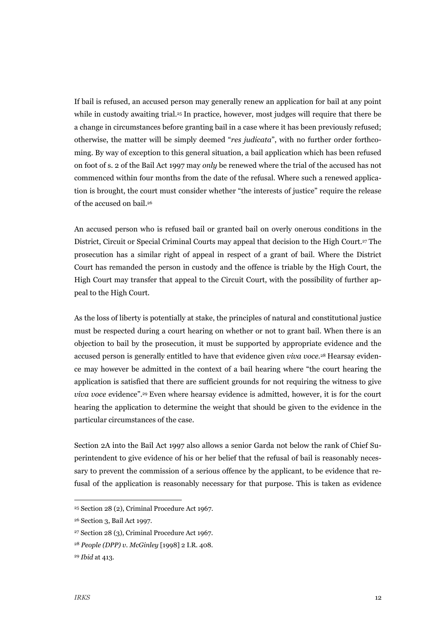If bail is refused, an accused person may generally renew an application for bail at any point while in custody awaiting trial.<sup>25</sup> In practice, however, most judges will require that there be a change in circumstances before granting bail in a case where it has been previously refused; otherwise, the matter will be simply deemed "*res judicata*", with no further order forthcoming. By way of exception to this general situation, a bail application which has been refused on foot of s. 2 of the Bail Act 1997 may *only* be renewed where the trial of the accused has not commenced within four months from the date of the refusal. Where such a renewed application is brought, the court must consider whether "the interests of justice" require the release of the accused on bail.26

An accused person who is refused bail or granted bail on overly onerous conditions in the District, Circuit or Special Criminal Courts may appeal that decision to the High Court.27 The prosecution has a similar right of appeal in respect of a grant of bail. Where the District Court has remanded the person in custody and the offence is triable by the High Court, the High Court may transfer that appeal to the Circuit Court, with the possibility of further appeal to the High Court.

As the loss of liberty is potentially at stake, the principles of natural and constitutional justice must be respected during a court hearing on whether or not to grant bail. When there is an objection to bail by the prosecution, it must be supported by appropriate evidence and the accused person is generally entitled to have that evidence given *viva voce.*28 Hearsay evidence may however be admitted in the context of a bail hearing where "the court hearing the application is satisfied that there are sufficient grounds for not requiring the witness to give *viva voce* evidence".29 Even where hearsay evidence is admitted, however, it is for the court hearing the application to determine the weight that should be given to the evidence in the particular circumstances of the case.

Section 2A into the Bail Act 1997 also allows a senior Garda not below the rank of Chief Superintendent to give evidence of his or her belief that the refusal of bail is reasonably necessary to prevent the commission of a serious offence by the applicant, to be evidence that refusal of the application is reasonably necessary for that purpose. This is taken as evidence

 <sup>25</sup> Section 28 (2), Criminal Procedure Act 1967.

<sup>26</sup> Section 3, Bail Act 1997.

<sup>27</sup> Section 28 (3), Criminal Procedure Act 1967.

<sup>28</sup> *People (DPP) v. McGinley* [1998] 2 I.R. 408.

<sup>29</sup> *Ibid* at 413.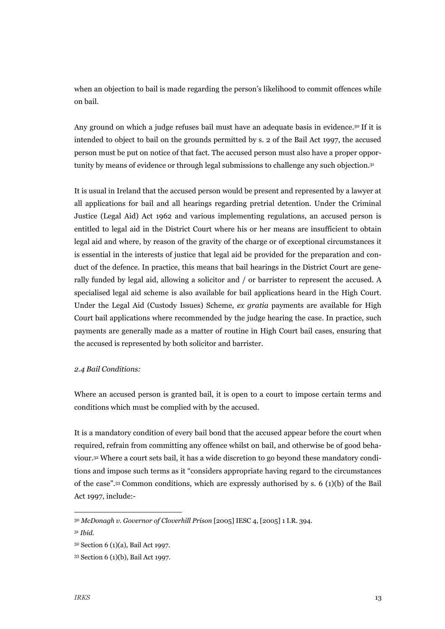when an objection to bail is made regarding the person's likelihood to commit offences while on bail.

Any ground on which a judge refuses bail must have an adequate basis in evidence.<sup>30</sup> If it is intended to object to bail on the grounds permitted by s. 2 of the Bail Act 1997, the accused person must be put on notice of that fact. The accused person must also have a proper opportunity by means of evidence or through legal submissions to challenge any such objection.31

It is usual in Ireland that the accused person would be present and represented by a lawyer at all applications for bail and all hearings regarding pretrial detention. Under the Criminal Justice (Legal Aid) Act 1962 and various implementing regulations, an accused person is entitled to legal aid in the District Court where his or her means are insufficient to obtain legal aid and where, by reason of the gravity of the charge or of exceptional circumstances it is essential in the interests of justice that legal aid be provided for the preparation and conduct of the defence. In practice, this means that bail hearings in the District Court are generally funded by legal aid, allowing a solicitor and / or barrister to represent the accused. A specialised legal aid scheme is also available for bail applications heard in the High Court. Under the Legal Aid (Custody Issues) Scheme, *ex gratia* payments are available for High Court bail applications where recommended by the judge hearing the case. In practice, such payments are generally made as a matter of routine in High Court bail cases, ensuring that the accused is represented by both solicitor and barrister.

#### *2.4 Bail Conditions:*

Where an accused person is granted bail, it is open to a court to impose certain terms and conditions which must be complied with by the accused.

It is a mandatory condition of every bail bond that the accused appear before the court when required, refrain from committing any offence whilst on bail, and otherwise be of good behaviour.32 Where a court sets bail, it has a wide discretion to go beyond these mandatory conditions and impose such terms as it "considers appropriate having regard to the circumstances of the case".<sup>33</sup> Common conditions, which are expressly authorised by s. 6 (1)(b) of the Bail Act 1997, include:-

 <sup>30</sup> *McDonagh v. Governor of Cloverhill Prison* [2005] IESC 4, [2005] 1 I.R. 394.

<sup>31</sup> *Ibid.*

<sup>32</sup> Section 6 (1)(a), Bail Act 1997.

<sup>33</sup> Section 6 (1)(b), Bail Act 1997.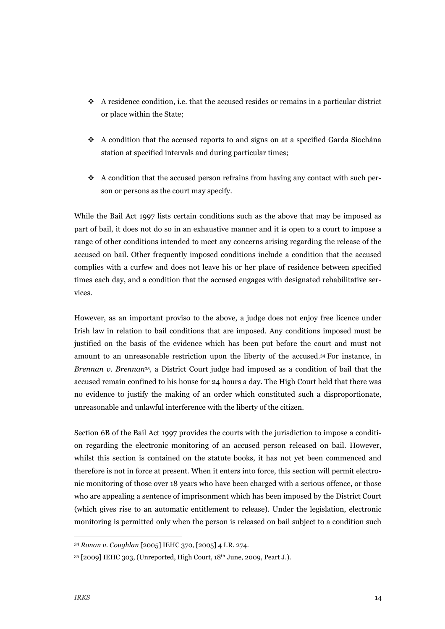- $\bullet$  A residence condition, i.e. that the accused resides or remains in a particular district or place within the State;
- $\bullet$  A condition that the accused reports to and signs on at a specified Garda Síochána station at specified intervals and during particular times;
- $\bullet$  A condition that the accused person refrains from having any contact with such person or persons as the court may specify.

While the Bail Act 1997 lists certain conditions such as the above that may be imposed as part of bail, it does not do so in an exhaustive manner and it is open to a court to impose a range of other conditions intended to meet any concerns arising regarding the release of the accused on bail. Other frequently imposed conditions include a condition that the accused complies with a curfew and does not leave his or her place of residence between specified times each day, and a condition that the accused engages with designated rehabilitative services.

However, as an important proviso to the above, a judge does not enjoy free licence under Irish law in relation to bail conditions that are imposed. Any conditions imposed must be justified on the basis of the evidence which has been put before the court and must not amount to an unreasonable restriction upon the liberty of the accused.34 For instance, in *Brennan v. Brennan*35*,* a District Court judge had imposed as a condition of bail that the accused remain confined to his house for 24 hours a day. The High Court held that there was no evidence to justify the making of an order which constituted such a disproportionate, unreasonable and unlawful interference with the liberty of the citizen.

Section 6B of the Bail Act 1997 provides the courts with the jurisdiction to impose a condition regarding the electronic monitoring of an accused person released on bail. However, whilst this section is contained on the statute books, it has not yet been commenced and therefore is not in force at present. When it enters into force, this section will permit electronic monitoring of those over 18 years who have been charged with a serious offence, or those who are appealing a sentence of imprisonment which has been imposed by the District Court (which gives rise to an automatic entitlement to release). Under the legislation, electronic monitoring is permitted only when the person is released on bail subject to a condition such

 <sup>34</sup> *Ronan v. Coughlan* [2005] IEHC 370, [2005] 4 I.R. 274.

<sup>35</sup> [2009] IEHC 303, (Unreported, High Court, 18th June, 2009, Peart J.).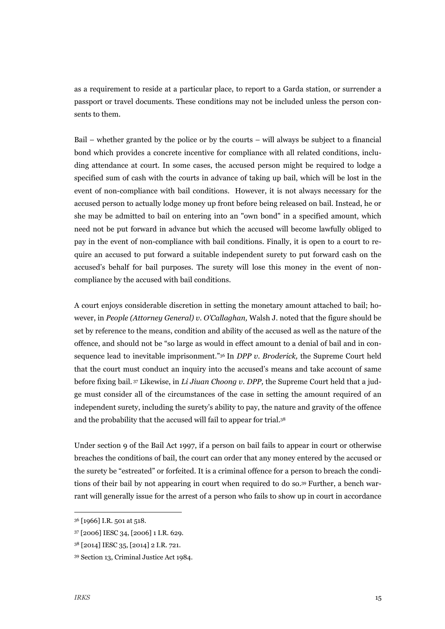as a requirement to reside at a particular place, to report to a Garda station, or surrender a passport or travel documents. These conditions may not be included unless the person consents to them.

Bail – whether granted by the police or by the courts – will always be subject to a financial bond which provides a concrete incentive for compliance with all related conditions, including attendance at court. In some cases, the accused person might be required to lodge a specified sum of cash with the courts in advance of taking up bail, which will be lost in the event of non-compliance with bail conditions. However, it is not always necessary for the accused person to actually lodge money up front before being released on bail. Instead, he or she may be admitted to bail on entering into an "own bond" in a specified amount, which need not be put forward in advance but which the accused will become lawfully obliged to pay in the event of non-compliance with bail conditions. Finally, it is open to a court to require an accused to put forward a suitable independent surety to put forward cash on the accused's behalf for bail purposes. The surety will lose this money in the event of noncompliance by the accused with bail conditions.

A court enjoys considerable discretion in setting the monetary amount attached to bail; however, in *People (Attorney General) v. O'Callaghan,* Walsh J. noted that the figure should be set by reference to the means, condition and ability of the accused as well as the nature of the offence, and should not be "so large as would in effect amount to a denial of bail and in consequence lead to inevitable imprisonment."36 In *DPP v. Broderick,* the Supreme Court held that the court must conduct an inquiry into the accused's means and take account of same before fixing bail. 37 Likewise, in *Li Jiuan Choong v. DPP,* the Supreme Court held that a judge must consider all of the circumstances of the case in setting the amount required of an independent surety, including the surety's ability to pay, the nature and gravity of the offence and the probability that the accused will fail to appear for trial.38

Under section 9 of the Bail Act 1997, if a person on bail fails to appear in court or otherwise breaches the conditions of bail, the court can order that any money entered by the accused or the surety be "estreated" or forfeited. It is a criminal offence for a person to breach the conditions of their bail by not appearing in court when required to do so.39 Further, a bench warrant will generally issue for the arrest of a person who fails to show up in court in accordance

 <sup>36</sup> [1966] I.R. 501 at 518.

<sup>37 [2006]</sup> IESC 34, [2006] 1 I.R. 629.

<sup>38</sup> [2014] IESC 35, [2014] 2 I.R. 721.

<sup>39</sup> Section 13, Criminal Justice Act 1984.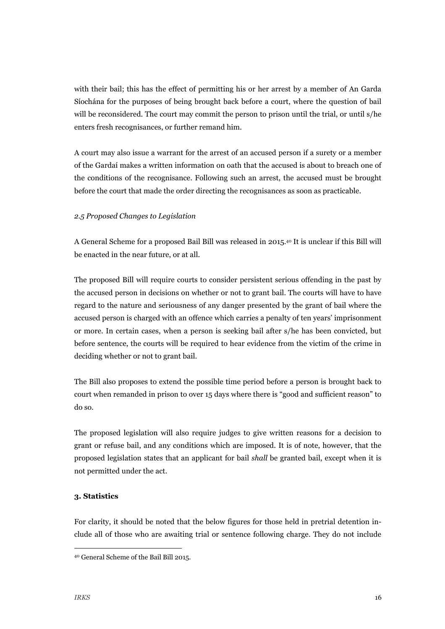with their bail; this has the effect of permitting his or her arrest by a member of An Garda Síochána for the purposes of being brought back before a court, where the question of bail will be reconsidered. The court may commit the person to prison until the trial, or until s/he enters fresh recognisances, or further remand him.

A court may also issue a warrant for the arrest of an accused person if a surety or a member of the Gardaí makes a written information on oath that the accused is about to breach one of the conditions of the recognisance. Following such an arrest, the accused must be brought before the court that made the order directing the recognisances as soon as practicable.

#### *2.5 Proposed Changes to Legislation*

A General Scheme for a proposed Bail Bill was released in 2015.40 It is unclear if this Bill will be enacted in the near future, or at all.

The proposed Bill will require courts to consider persistent serious offending in the past by the accused person in decisions on whether or not to grant bail. The courts will have to have regard to the nature and seriousness of any danger presented by the grant of bail where the accused person is charged with an offence which carries a penalty of ten years' imprisonment or more. In certain cases, when a person is seeking bail after s/he has been convicted, but before sentence, the courts will be required to hear evidence from the victim of the crime in deciding whether or not to grant bail.

The Bill also proposes to extend the possible time period before a person is brought back to court when remanded in prison to over 15 days where there is "good and sufficient reason" to do so.

The proposed legislation will also require judges to give written reasons for a decision to grant or refuse bail, and any conditions which are imposed. It is of note, however, that the proposed legislation states that an applicant for bail *shall* be granted bail, except when it is not permitted under the act.

# **3. Statistics**

For clarity, it should be noted that the below figures for those held in pretrial detention include all of those who are awaiting trial or sentence following charge. They do not include

 <sup>40</sup> General Scheme of the Bail Bill 2015.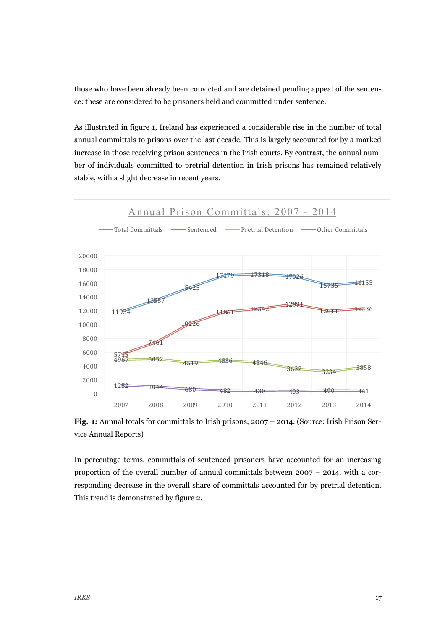those who have been already been convicted and are detained pending appeal of the sentence: these are considered to be prisoners held and committed under sentence.

As illustrated in figure 1, Ireland has experienced a considerable rise in the number of total annual committals to prisons over the last decade. This is largely accounted for by a marked increase in those receiving prison sentences in the Irish courts. By contrast, the annual number of individuals committed to pretrial detention in Irish prisons has remained relatively stable, with a slight decrease in recent years.



**Fig. 1:** Annual totals for committals to Irish prisons, 2007 – 2014. (Source: Irish Prison Service Annual Reports)

In percentage terms, committals of sentenced prisoners have accounted for an increasing proportion of the overall number of annual committals between  $2007 - 2014$ , with a corresponding decrease in the overall share of committals accounted for by pretrial detention. This trend is demonstrated by figure 2.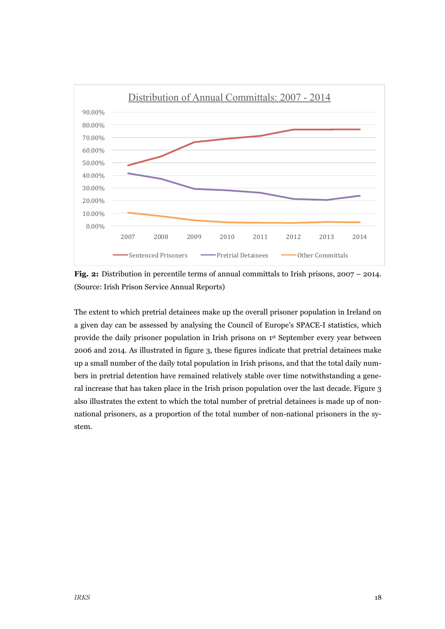

**Fig. 2:** Distribution in percentile terms of annual committals to Irish prisons, 2007 – 2014. (Source: Irish Prison Service Annual Reports)

The extent to which pretrial detainees make up the overall prisoner population in Ireland on a given day can be assessed by analysing the Council of Europe's SPACE-I statistics, which provide the daily prisoner population in Irish prisons on 1st September every year between 2006 and 2014. As illustrated in figure 3, these figures indicate that pretrial detainees make up a small number of the daily total population in Irish prisons, and that the total daily numbers in pretrial detention have remained relatively stable over time notwithstanding a general increase that has taken place in the Irish prison population over the last decade. Figure 3 also illustrates the extent to which the total number of pretrial detainees is made up of nonnational prisoners, as a proportion of the total number of non-national prisoners in the system.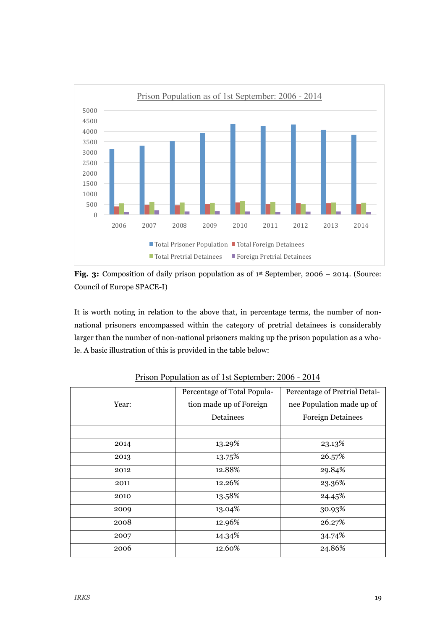

**Fig. 3:** Composition of daily prison population as of 1<sup>st</sup> September, 2006 – 2014. (Source: Council of Europe SPACE-I)

It is worth noting in relation to the above that, in percentage terms, the number of nonnational prisoners encompassed within the category of pretrial detainees is considerably larger than the number of non-national prisoners making up the prison population as a whole. A basic illustration of this is provided in the table below:

|       | Percentage of Total Popula- | Percentage of Pretrial Detai- |
|-------|-----------------------------|-------------------------------|
| Year: | tion made up of Foreign     | nee Population made up of     |
|       | Detainees                   | <b>Foreign Detainees</b>      |
|       |                             |                               |
| 2014  | 13.29%                      | 23.13%                        |
| 2013  | 13.75%                      | 26.57%                        |
| 2012  | 12.88%                      | 29.84%                        |
| 2011  | 12.26%                      | 23.36%                        |
| 2010  | 13.58%                      | 24.45%                        |
| 2009  | 13.04%                      | 30.93%                        |
| 2008  | 12.96%                      | 26.27%                        |
| 2007  | 14.34%                      | 34.74%                        |
| 2006  | 12.60%                      | 24.86%                        |
|       |                             |                               |

Prison Population as of 1st September: 2006 - 2014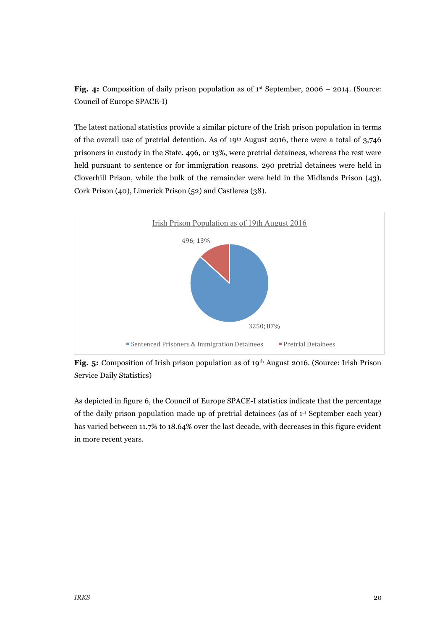**Fig. 4:** Composition of daily prison population as of 1<sup>st</sup> September, 2006 – 2014. (Source: Council of Europe SPACE-I)

The latest national statistics provide a similar picture of the Irish prison population in terms of the overall use of pretrial detention. As of  $19<sup>th</sup>$  August 2016, there were a total of 3,746 prisoners in custody in the State. 496, or 13%, were pretrial detainees, whereas the rest were held pursuant to sentence or for immigration reasons. 290 pretrial detainees were held in Cloverhill Prison, while the bulk of the remainder were held in the Midlands Prison (43), Cork Prison (40), Limerick Prison (52) and Castlerea (38).



**Fig. 5:** Composition of Irish prison population as of 19<sup>th</sup> August 2016. (Source: Irish Prison Service Daily Statistics)

As depicted in figure 6, the Council of Europe SPACE-I statistics indicate that the percentage of the daily prison population made up of pretrial detainees (as of 1st September each year) has varied between 11.7% to 18.64% over the last decade, with decreases in this figure evident in more recent years.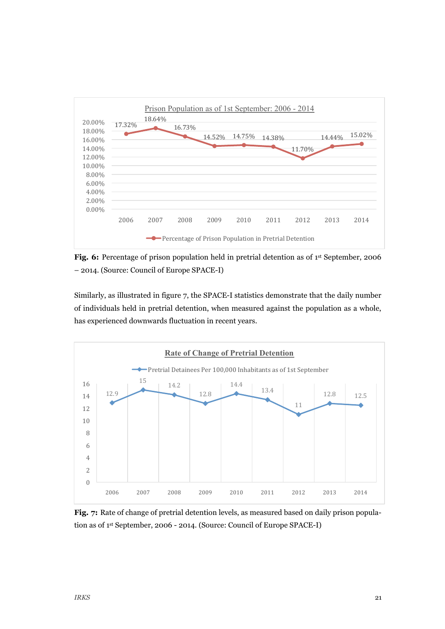

**Fig. 6:** Percentage of prison population held in pretrial detention as of 1<sup>st</sup> September, 2006 – 2014. (Source: Council of Europe SPACE-I)

Similarly, as illustrated in figure 7, the SPACE-I statistics demonstrate that the daily number of individuals held in pretrial detention, when measured against the population as a whole, has experienced downwards fluctuation in recent years.



Fig. 7: Rate of change of pretrial detention levels, as measured based on daily prison population as of 1st September, 2006 - 2014. (Source: Council of Europe SPACE-I)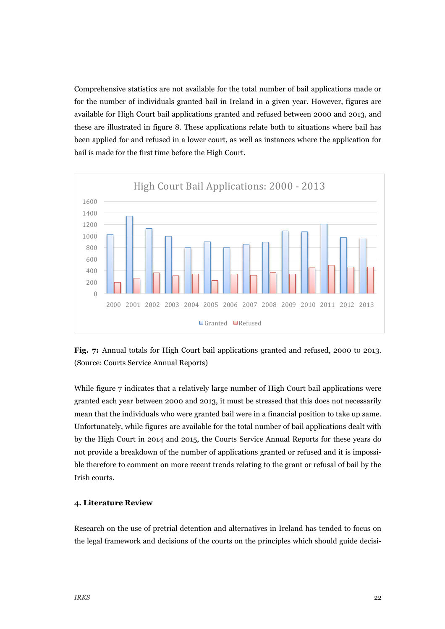Comprehensive statistics are not available for the total number of bail applications made or for the number of individuals granted bail in Ireland in a given year. However, figures are available for High Court bail applications granted and refused between 2000 and 2013, and these are illustrated in figure 8. These applications relate both to situations where bail has been applied for and refused in a lower court, as well as instances where the application for bail is made for the first time before the High Court.





While figure 7 indicates that a relatively large number of High Court bail applications were granted each year between 2000 and 2013, it must be stressed that this does not necessarily mean that the individuals who were granted bail were in a financial position to take up same. Unfortunately, while figures are available for the total number of bail applications dealt with by the High Court in 2014 and 2015, the Courts Service Annual Reports for these years do not provide a breakdown of the number of applications granted or refused and it is impossible therefore to comment on more recent trends relating to the grant or refusal of bail by the Irish courts.

#### **4. Literature Review**

Research on the use of pretrial detention and alternatives in Ireland has tended to focus on the legal framework and decisions of the courts on the principles which should guide decisi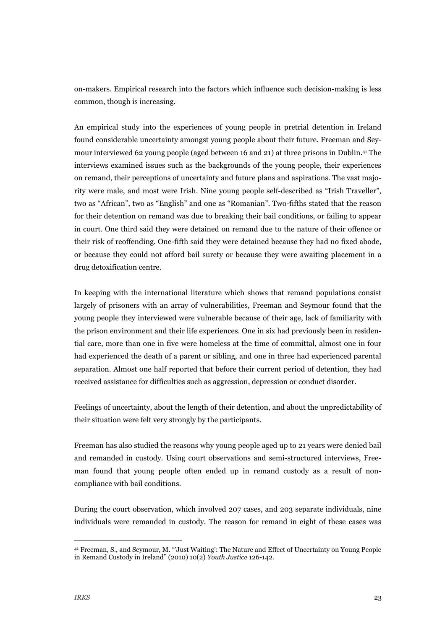on-makers. Empirical research into the factors which influence such decision-making is less common, though is increasing.

An empirical study into the experiences of young people in pretrial detention in Ireland found considerable uncertainty amongst young people about their future. Freeman and Seymour interviewed 62 young people (aged between 16 and 21) at three prisons in Dublin.41 The interviews examined issues such as the backgrounds of the young people, their experiences on remand, their perceptions of uncertainty and future plans and aspirations. The vast majority were male, and most were Irish. Nine young people self-described as "Irish Traveller", two as "African", two as "English" and one as "Romanian". Two-fifths stated that the reason for their detention on remand was due to breaking their bail conditions, or failing to appear in court. One third said they were detained on remand due to the nature of their offence or their risk of reoffending. One-fifth said they were detained because they had no fixed abode, or because they could not afford bail surety or because they were awaiting placement in a drug detoxification centre.

In keeping with the international literature which shows that remand populations consist largely of prisoners with an array of vulnerabilities, Freeman and Seymour found that the young people they interviewed were vulnerable because of their age, lack of familiarity with the prison environment and their life experiences. One in six had previously been in residential care, more than one in five were homeless at the time of committal, almost one in four had experienced the death of a parent or sibling, and one in three had experienced parental separation. Almost one half reported that before their current period of detention, they had received assistance for difficulties such as aggression, depression or conduct disorder.

Feelings of uncertainty, about the length of their detention, and about the unpredictability of their situation were felt very strongly by the participants.

Freeman has also studied the reasons why young people aged up to 21 years were denied bail and remanded in custody. Using court observations and semi-structured interviews, Freeman found that young people often ended up in remand custody as a result of noncompliance with bail conditions.

During the court observation, which involved 207 cases, and 203 separate individuals, nine individuals were remanded in custody. The reason for remand in eight of these cases was

 <sup>41</sup> Freeman, S., and Seymour, M. "'Just Waiting': The Nature and Effect of Uncertainty on Young People in Remand Custody in Ireland" (2010) 10(2) *Youth Justice* 126-142.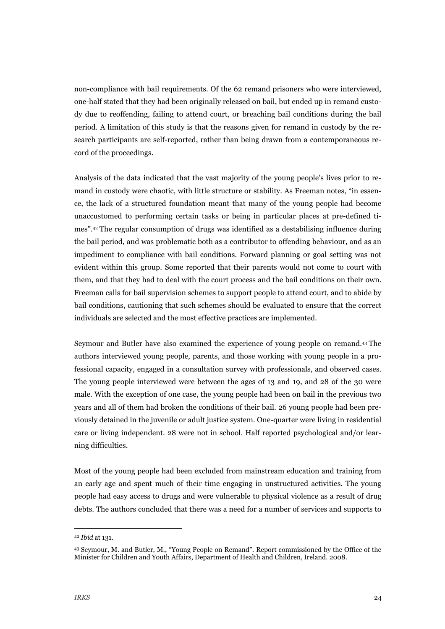non-compliance with bail requirements. Of the 62 remand prisoners who were interviewed, one-half stated that they had been originally released on bail, but ended up in remand custody due to reoffending, failing to attend court, or breaching bail conditions during the bail period. A limitation of this study is that the reasons given for remand in custody by the research participants are self-reported, rather than being drawn from a contemporaneous record of the proceedings.

Analysis of the data indicated that the vast majority of the young people's lives prior to remand in custody were chaotic, with little structure or stability. As Freeman notes, "in essence, the lack of a structured foundation meant that many of the young people had become unaccustomed to performing certain tasks or being in particular places at pre-defined times".42 The regular consumption of drugs was identified as a destabilising influence during the bail period, and was problematic both as a contributor to offending behaviour, and as an impediment to compliance with bail conditions. Forward planning or goal setting was not evident within this group. Some reported that their parents would not come to court with them, and that they had to deal with the court process and the bail conditions on their own. Freeman calls for bail supervision schemes to support people to attend court, and to abide by bail conditions, cautioning that such schemes should be evaluated to ensure that the correct individuals are selected and the most effective practices are implemented.

Seymour and Butler have also examined the experience of young people on remand.43 The authors interviewed young people, parents, and those working with young people in a professional capacity, engaged in a consultation survey with professionals, and observed cases. The young people interviewed were between the ages of 13 and 19, and 28 of the 30 were male. With the exception of one case, the young people had been on bail in the previous two years and all of them had broken the conditions of their bail. 26 young people had been previously detained in the juvenile or adult justice system. One-quarter were living in residential care or living independent. 28 were not in school. Half reported psychological and/or learning difficulties.

Most of the young people had been excluded from mainstream education and training from an early age and spent much of their time engaging in unstructured activities. The young people had easy access to drugs and were vulnerable to physical violence as a result of drug debts. The authors concluded that there was a need for a number of services and supports to

 <sup>42</sup> *Ibid* at 131.

<sup>43</sup> Seymour, M. and Butler, M., "Young People on Remand". Report commissioned by the Office of the Minister for Children and Youth Affairs, Department of Health and Children, Ireland. 2008.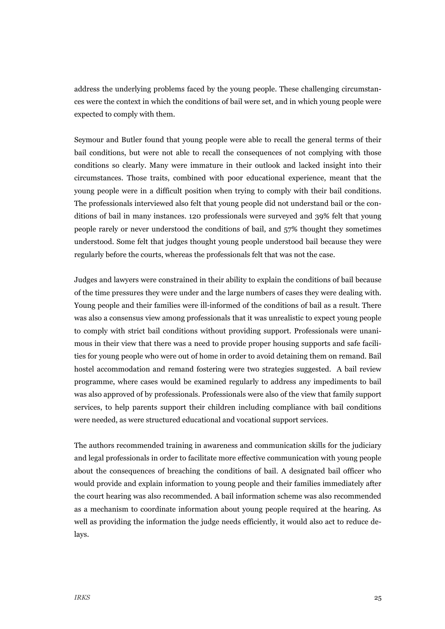address the underlying problems faced by the young people. These challenging circumstances were the context in which the conditions of bail were set, and in which young people were expected to comply with them.

Seymour and Butler found that young people were able to recall the general terms of their bail conditions, but were not able to recall the consequences of not complying with those conditions so clearly. Many were immature in their outlook and lacked insight into their circumstances. Those traits, combined with poor educational experience, meant that the young people were in a difficult position when trying to comply with their bail conditions. The professionals interviewed also felt that young people did not understand bail or the conditions of bail in many instances. 120 professionals were surveyed and 39% felt that young people rarely or never understood the conditions of bail, and 57% thought they sometimes understood. Some felt that judges thought young people understood bail because they were regularly before the courts, whereas the professionals felt that was not the case.

Judges and lawyers were constrained in their ability to explain the conditions of bail because of the time pressures they were under and the large numbers of cases they were dealing with. Young people and their families were ill-informed of the conditions of bail as a result. There was also a consensus view among professionals that it was unrealistic to expect young people to comply with strict bail conditions without providing support. Professionals were unanimous in their view that there was a need to provide proper housing supports and safe facilities for young people who were out of home in order to avoid detaining them on remand. Bail hostel accommodation and remand fostering were two strategies suggested. A bail review programme, where cases would be examined regularly to address any impediments to bail was also approved of by professionals. Professionals were also of the view that family support services, to help parents support their children including compliance with bail conditions were needed, as were structured educational and vocational support services.

The authors recommended training in awareness and communication skills for the judiciary and legal professionals in order to facilitate more effective communication with young people about the consequences of breaching the conditions of bail. A designated bail officer who would provide and explain information to young people and their families immediately after the court hearing was also recommended. A bail information scheme was also recommended as a mechanism to coordinate information about young people required at the hearing. As well as providing the information the judge needs efficiently, it would also act to reduce delays.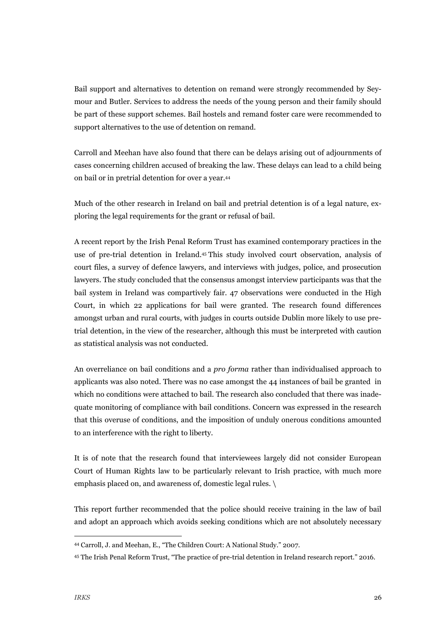Bail support and alternatives to detention on remand were strongly recommended by Seymour and Butler. Services to address the needs of the young person and their family should be part of these support schemes. Bail hostels and remand foster care were recommended to support alternatives to the use of detention on remand.

Carroll and Meehan have also found that there can be delays arising out of adjournments of cases concerning children accused of breaking the law. These delays can lead to a child being on bail or in pretrial detention for over a year.44

Much of the other research in Ireland on bail and pretrial detention is of a legal nature, exploring the legal requirements for the grant or refusal of bail.

A recent report by the Irish Penal Reform Trust has examined contemporary practices in the use of pre-trial detention in Ireland.45 This study involved court observation, analysis of court files, a survey of defence lawyers, and interviews with judges, police, and prosecution lawyers. The study concluded that the consensus amongst interview participants was that the bail system in Ireland was compartively fair. 47 observations were conducted in the High Court, in which 22 applications for bail were granted. The research found differences amongst urban and rural courts, with judges in courts outside Dublin more likely to use pretrial detention, in the view of the researcher, although this must be interpreted with caution as statistical analysis was not conducted.

An overreliance on bail conditions and a *pro forma* rather than individualised approach to applicants was also noted. There was no case amongst the 44 instances of bail be granted in which no conditions were attached to bail. The research also concluded that there was inadequate monitoring of compliance with bail conditions. Concern was expressed in the research that this overuse of conditions, and the imposition of unduly onerous conditions amounted to an interference with the right to liberty.

It is of note that the research found that interviewees largely did not consider European Court of Human Rights law to be particularly relevant to Irish practice, with much more emphasis placed on, and awareness of, domestic legal rules. \

This report further recommended that the police should receive training in the law of bail and adopt an approach which avoids seeking conditions which are not absolutely necessary

 <sup>44</sup> Carroll, J. and Meehan, E., "The Children Court: A National Study." 2007.

<sup>45</sup> The Irish Penal Reform Trust, "The practice of pre-trial detention in Ireland research report." 2016.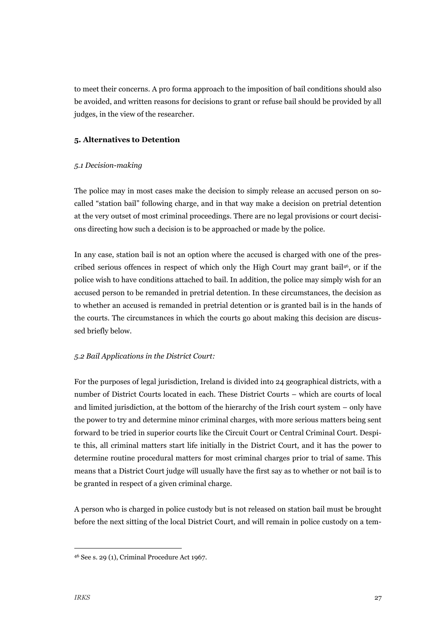to meet their concerns. A pro forma approach to the imposition of bail conditions should also be avoided, and written reasons for decisions to grant or refuse bail should be provided by all judges, in the view of the researcher.

#### **5. Alternatives to Detention**

#### *5.1 Decision-making*

The police may in most cases make the decision to simply release an accused person on socalled "station bail" following charge, and in that way make a decision on pretrial detention at the very outset of most criminal proceedings. There are no legal provisions or court decisions directing how such a decision is to be approached or made by the police.

In any case, station bail is not an option where the accused is charged with one of the prescribed serious offences in respect of which only the High Court may grant bail46, or if the police wish to have conditions attached to bail. In addition, the police may simply wish for an accused person to be remanded in pretrial detention. In these circumstances, the decision as to whether an accused is remanded in pretrial detention or is granted bail is in the hands of the courts. The circumstances in which the courts go about making this decision are discussed briefly below.

# *5.2 Bail Applications in the District Court:*

For the purposes of legal jurisdiction, Ireland is divided into 24 geographical districts, with a number of District Courts located in each. These District Courts – which are courts of local and limited jurisdiction, at the bottom of the hierarchy of the Irish court system – only have the power to try and determine minor criminal charges, with more serious matters being sent forward to be tried in superior courts like the Circuit Court or Central Criminal Court. Despite this, all criminal matters start life initially in the District Court, and it has the power to determine routine procedural matters for most criminal charges prior to trial of same. This means that a District Court judge will usually have the first say as to whether or not bail is to be granted in respect of a given criminal charge.

A person who is charged in police custody but is not released on station bail must be brought before the next sitting of the local District Court, and will remain in police custody on a tem-

 <sup>46</sup> See s. 29 (1), Criminal Procedure Act 1967.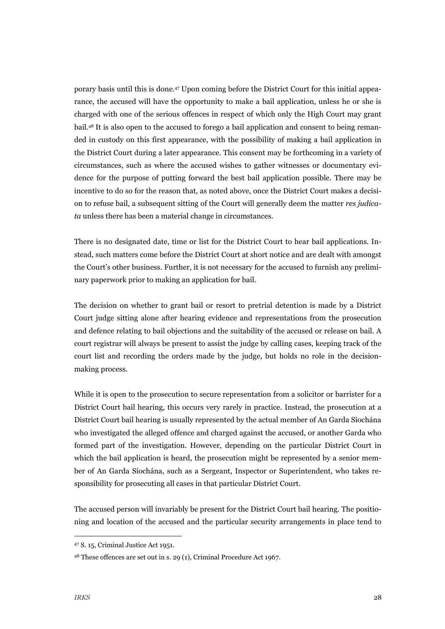porary basis until this is done.47 Upon coming before the District Court for this initial appearance, the accused will have the opportunity to make a bail application, unless he or she is charged with one of the serious offences in respect of which only the High Court may grant bail.48 It is also open to the accused to forego a bail application and consent to being remanded in custody on this first appearance, with the possibility of making a bail application in the District Court during a later appearance. This consent may be forthcoming in a variety of circumstances, such as where the accused wishes to gather witnesses or documentary evidence for the purpose of putting forward the best bail application possible. There may be incentive to do so for the reason that, as noted above, once the District Court makes a decision to refuse bail, a subsequent sitting of the Court will generally deem the matter *res judicata* unless there has been a material change in circumstances.

There is no designated date, time or list for the District Court to hear bail applications. Instead, such matters come before the District Court at short notice and are dealt with amongst the Court's other business. Further, it is not necessary for the accused to furnish any preliminary paperwork prior to making an application for bail.

The decision on whether to grant bail or resort to pretrial detention is made by a District Court judge sitting alone after hearing evidence and representations from the prosecution and defence relating to bail objections and the suitability of the accused or release on bail. A court registrar will always be present to assist the judge by calling cases, keeping track of the court list and recording the orders made by the judge, but holds no role in the decisionmaking process.

While it is open to the prosecution to secure representation from a solicitor or barrister for a District Court bail hearing, this occurs very rarely in practice. Instead, the prosecution at a District Court bail hearing is usually represented by the actual member of An Garda Síochána who investigated the alleged offence and charged against the accused, or another Garda who formed part of the investigation. However, depending on the particular District Court in which the bail application is heard, the prosecution might be represented by a senior member of An Garda Síochána, such as a Sergeant, Inspector or Superintendent, who takes responsibility for prosecuting all cases in that particular District Court.

The accused person will invariably be present for the District Court bail hearing. The positioning and location of the accused and the particular security arrangements in place tend to

 <sup>47</sup> S. 15, Criminal Justice Act 1951.

<sup>48</sup> These offences are set out in s. 29 (1), Criminal Procedure Act 1967.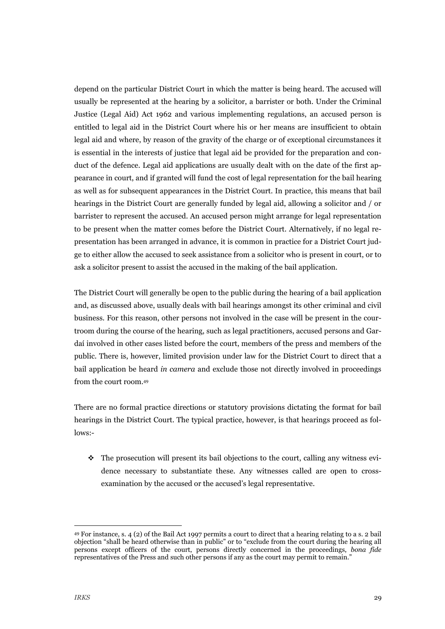depend on the particular District Court in which the matter is being heard. The accused will usually be represented at the hearing by a solicitor, a barrister or both. Under the Criminal Justice (Legal Aid) Act 1962 and various implementing regulations, an accused person is entitled to legal aid in the District Court where his or her means are insufficient to obtain legal aid and where, by reason of the gravity of the charge or of exceptional circumstances it is essential in the interests of justice that legal aid be provided for the preparation and conduct of the defence. Legal aid applications are usually dealt with on the date of the first appearance in court, and if granted will fund the cost of legal representation for the bail hearing as well as for subsequent appearances in the District Court. In practice, this means that bail hearings in the District Court are generally funded by legal aid, allowing a solicitor and / or barrister to represent the accused. An accused person might arrange for legal representation to be present when the matter comes before the District Court. Alternatively, if no legal representation has been arranged in advance, it is common in practice for a District Court judge to either allow the accused to seek assistance from a solicitor who is present in court, or to ask a solicitor present to assist the accused in the making of the bail application.

The District Court will generally be open to the public during the hearing of a bail application and, as discussed above, usually deals with bail hearings amongst its other criminal and civil business. For this reason, other persons not involved in the case will be present in the courtroom during the course of the hearing, such as legal practitioners, accused persons and Gardaí involved in other cases listed before the court, members of the press and members of the public. There is, however, limited provision under law for the District Court to direct that a bail application be heard *in camera* and exclude those not directly involved in proceedings from the court room.49

There are no formal practice directions or statutory provisions dictating the format for bail hearings in the District Court. The typical practice, however, is that hearings proceed as follows:-

 $\cdot \cdot$  The prosecution will present its bail objections to the court, calling any witness evidence necessary to substantiate these. Any witnesses called are open to crossexamination by the accused or the accused's legal representative.

 <sup>49</sup> For instance, s. 4 (2) of the Bail Act 1997 permits a court to direct that a hearing relating to a s. 2 bail objection "shall be heard otherwise than in public" or to "exclude from the court during the hearing all persons except officers of the court, persons directly concerned in the proceedings, *bona fide*  representatives of the Press and such other persons if any as the court may permit to remain."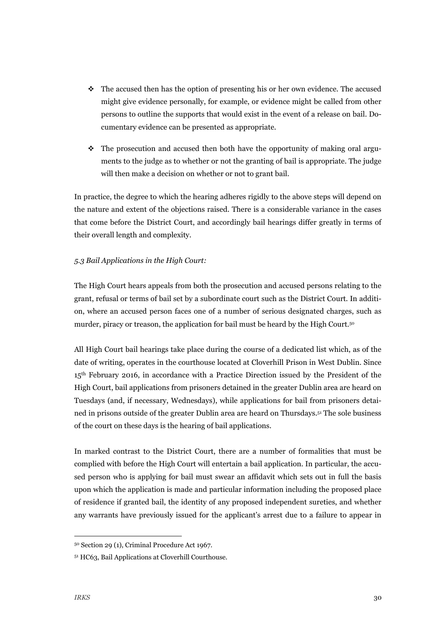- $\cdot \cdot$  The accused then has the option of presenting his or her own evidence. The accused might give evidence personally, for example, or evidence might be called from other persons to outline the supports that would exist in the event of a release on bail. Documentary evidence can be presented as appropriate.
- $\cdot \cdot$  The prosecution and accused then both have the opportunity of making oral arguments to the judge as to whether or not the granting of bail is appropriate. The judge will then make a decision on whether or not to grant bail.

In practice, the degree to which the hearing adheres rigidly to the above steps will depend on the nature and extent of the objections raised. There is a considerable variance in the cases that come before the District Court, and accordingly bail hearings differ greatly in terms of their overall length and complexity.

### *5.3 Bail Applications in the High Court:*

The High Court hears appeals from both the prosecution and accused persons relating to the grant, refusal or terms of bail set by a subordinate court such as the District Court. In addition, where an accused person faces one of a number of serious designated charges, such as murder, piracy or treason, the application for bail must be heard by the High Court.50

All High Court bail hearings take place during the course of a dedicated list which, as of the date of writing, operates in the courthouse located at Cloverhill Prison in West Dublin. Since 15th February 2016, in accordance with a Practice Direction issued by the President of the High Court, bail applications from prisoners detained in the greater Dublin area are heard on Tuesdays (and, if necessary, Wednesdays), while applications for bail from prisoners detained in prisons outside of the greater Dublin area are heard on Thursdays.51 The sole business of the court on these days is the hearing of bail applications.

In marked contrast to the District Court, there are a number of formalities that must be complied with before the High Court will entertain a bail application. In particular, the accused person who is applying for bail must swear an affidavit which sets out in full the basis upon which the application is made and particular information including the proposed place of residence if granted bail, the identity of any proposed independent sureties, and whether any warrants have previously issued for the applicant's arrest due to a failure to appear in

 <sup>50</sup> Section 29 (1), Criminal Procedure Act 1967.

<sup>51</sup> HC63, Bail Applications at Cloverhill Courthouse.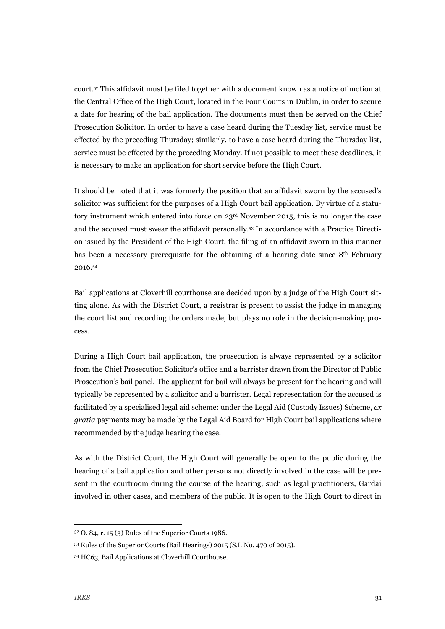court.52 This affidavit must be filed together with a document known as a notice of motion at the Central Office of the High Court, located in the Four Courts in Dublin, in order to secure a date for hearing of the bail application. The documents must then be served on the Chief Prosecution Solicitor. In order to have a case heard during the Tuesday list, service must be effected by the preceding Thursday; similarly, to have a case heard during the Thursday list, service must be effected by the preceding Monday. If not possible to meet these deadlines, it is necessary to make an application for short service before the High Court.

It should be noted that it was formerly the position that an affidavit sworn by the accused's solicitor was sufficient for the purposes of a High Court bail application. By virtue of a statutory instrument which entered into force on 23rd November 2015, this is no longer the case and the accused must swear the affidavit personally.53 In accordance with a Practice Direction issued by the President of the High Court, the filing of an affidavit sworn in this manner has been a necessary prerequisite for the obtaining of a hearing date since 8<sup>th</sup> February 2016.54

Bail applications at Cloverhill courthouse are decided upon by a judge of the High Court sitting alone. As with the District Court, a registrar is present to assist the judge in managing the court list and recording the orders made, but plays no role in the decision-making process.

During a High Court bail application, the prosecution is always represented by a solicitor from the Chief Prosecution Solicitor's office and a barrister drawn from the Director of Public Prosecution's bail panel. The applicant for bail will always be present for the hearing and will typically be represented by a solicitor and a barrister. Legal representation for the accused is facilitated by a specialised legal aid scheme: under the Legal Aid (Custody Issues) Scheme, *ex gratia* payments may be made by the Legal Aid Board for High Court bail applications where recommended by the judge hearing the case.

As with the District Court, the High Court will generally be open to the public during the hearing of a bail application and other persons not directly involved in the case will be present in the courtroom during the course of the hearing, such as legal practitioners, Gardaí involved in other cases, and members of the public. It is open to the High Court to direct in

 <sup>52</sup> O. 84, r. 15 (3) Rules of the Superior Courts 1986.

<sup>53</sup> Rules of the Superior Courts (Bail Hearings) 2015 (S.I. No. 470 of 2015).

<sup>54</sup> HC63, Bail Applications at Cloverhill Courthouse.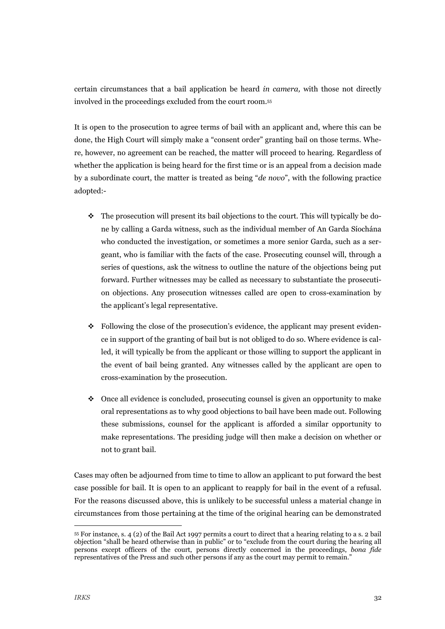certain circumstances that a bail application be heard *in camera,* with those not directly involved in the proceedings excluded from the court room.55

It is open to the prosecution to agree terms of bail with an applicant and, where this can be done, the High Court will simply make a "consent order" granting bail on those terms. Where, however, no agreement can be reached, the matter will proceed to hearing. Regardless of whether the application is being heard for the first time or is an appeal from a decision made by a subordinate court, the matter is treated as being "*de novo*", with the following practice adopted:-

- $\cdot \cdot$  The prosecution will present its bail objections to the court. This will typically be done by calling a Garda witness, such as the individual member of An Garda Síochána who conducted the investigation, or sometimes a more senior Garda, such as a sergeant, who is familiar with the facts of the case. Prosecuting counsel will, through a series of questions, ask the witness to outline the nature of the objections being put forward. Further witnesses may be called as necessary to substantiate the prosecution objections. Any prosecution witnesses called are open to cross-examination by the applicant's legal representative.
- $\bullet$  Following the close of the prosecution's evidence, the applicant may present evidence in support of the granting of bail but is not obliged to do so. Where evidence is called, it will typically be from the applicant or those willing to support the applicant in the event of bail being granted. Any witnesses called by the applicant are open to cross-examination by the prosecution.
- $\bullet$  Once all evidence is concluded, prosecuting counsel is given an opportunity to make oral representations as to why good objections to bail have been made out. Following these submissions, counsel for the applicant is afforded a similar opportunity to make representations. The presiding judge will then make a decision on whether or not to grant bail.

Cases may often be adjourned from time to time to allow an applicant to put forward the best case possible for bail. It is open to an applicant to reapply for bail in the event of a refusal. For the reasons discussed above, this is unlikely to be successful unless a material change in circumstances from those pertaining at the time of the original hearing can be demonstrated

 <sup>55</sup> For instance, s. 4 (2) of the Bail Act 1997 permits a court to direct that a hearing relating to a s. 2 bail objection "shall be heard otherwise than in public" or to "exclude from the court during the hearing all persons except officers of the court, persons directly concerned in the proceedings, *bona fide*  representatives of the Press and such other persons if any as the court may permit to remain."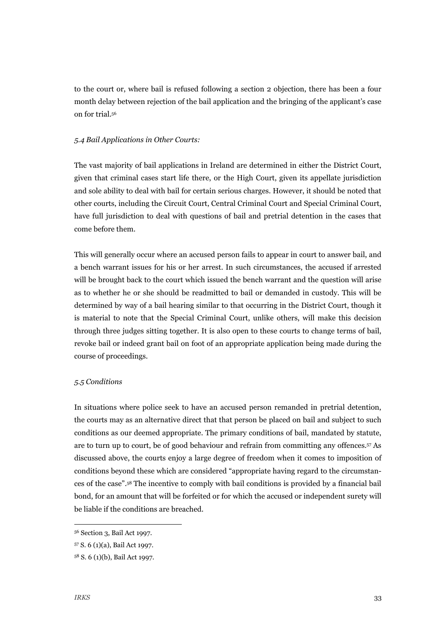to the court or, where bail is refused following a section 2 objection, there has been a four month delay between rejection of the bail application and the bringing of the applicant's case on for trial.56

#### *5.4 Bail Applications in Other Courts:*

The vast majority of bail applications in Ireland are determined in either the District Court, given that criminal cases start life there, or the High Court, given its appellate jurisdiction and sole ability to deal with bail for certain serious charges. However, it should be noted that other courts, including the Circuit Court, Central Criminal Court and Special Criminal Court, have full jurisdiction to deal with questions of bail and pretrial detention in the cases that come before them.

This will generally occur where an accused person fails to appear in court to answer bail, and a bench warrant issues for his or her arrest. In such circumstances, the accused if arrested will be brought back to the court which issued the bench warrant and the question will arise as to whether he or she should be readmitted to bail or demanded in custody. This will be determined by way of a bail hearing similar to that occurring in the District Court, though it is material to note that the Special Criminal Court, unlike others, will make this decision through three judges sitting together. It is also open to these courts to change terms of bail, revoke bail or indeed grant bail on foot of an appropriate application being made during the course of proceedings.

#### *5.5 Conditions*

In situations where police seek to have an accused person remanded in pretrial detention, the courts may as an alternative direct that that person be placed on bail and subject to such conditions as our deemed appropriate. The primary conditions of bail, mandated by statute, are to turn up to court, be of good behaviour and refrain from committing any offences.57 As discussed above, the courts enjoy a large degree of freedom when it comes to imposition of conditions beyond these which are considered "appropriate having regard to the circumstances of the case".58 The incentive to comply with bail conditions is provided by a financial bail bond, for an amount that will be forfeited or for which the accused or independent surety will be liable if the conditions are breached.

 <sup>56</sup> Section 3, Bail Act 1997.

<sup>57</sup> S. 6 (1)(a), Bail Act 1997.

<sup>58</sup> S. 6 (1)(b), Bail Act 1997.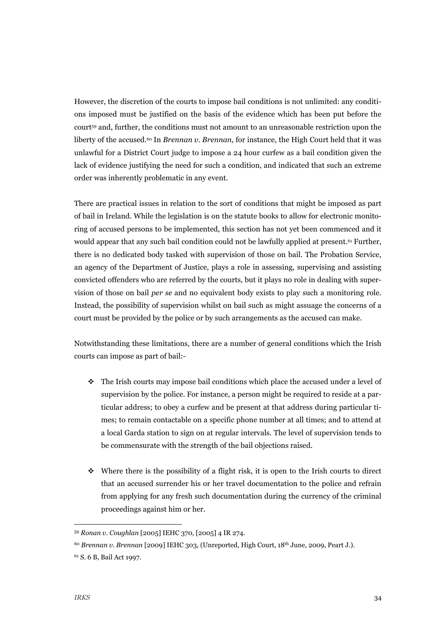However, the discretion of the courts to impose bail conditions is not unlimited: any conditions imposed must be justified on the basis of the evidence which has been put before the court59 and, further, the conditions must not amount to an unreasonable restriction upon the liberty of the accused.<sup>60</sup> In *Brennan v. Brennan*, for instance, the High Court held that it was unlawful for a District Court judge to impose a 24 hour curfew as a bail condition given the lack of evidence justifying the need for such a condition, and indicated that such an extreme order was inherently problematic in any event.

There are practical issues in relation to the sort of conditions that might be imposed as part of bail in Ireland. While the legislation is on the statute books to allow for electronic monitoring of accused persons to be implemented, this section has not yet been commenced and it would appear that any such bail condition could not be lawfully applied at present.61 Further, there is no dedicated body tasked with supervision of those on bail. The Probation Service, an agency of the Department of Justice, plays a role in assessing, supervising and assisting convicted offenders who are referred by the courts, but it plays no role in dealing with supervision of those on bail *per se* and no equivalent body exists to play such a monitoring role. Instead, the possibility of supervision whilst on bail such as might assuage the concerns of a court must be provided by the police or by such arrangements as the accused can make.

Notwithstanding these limitations, there are a number of general conditions which the Irish courts can impose as part of bail:-

- $\cdot \cdot$  The Irish courts may impose bail conditions which place the accused under a level of supervision by the police. For instance, a person might be required to reside at a particular address; to obey a curfew and be present at that address during particular times; to remain contactable on a specific phone number at all times; and to attend at a local Garda station to sign on at regular intervals. The level of supervision tends to be commensurate with the strength of the bail objections raised.
- $\cdot$  Where there is the possibility of a flight risk, it is open to the Irish courts to direct that an accused surrender his or her travel documentation to the police and refrain from applying for any fresh such documentation during the currency of the criminal proceedings against him or her.

 <sup>59</sup> *Ronan v. Coughlan* [2005] IEHC 370, [2005] 4 IR 274.

<sup>60</sup> *Brennan v. Brennan* [2009] IEHC 303, (Unreported, High Court, 18th June, 2009, Peart J.).

<sup>61</sup> S. 6 B, Bail Act 1997.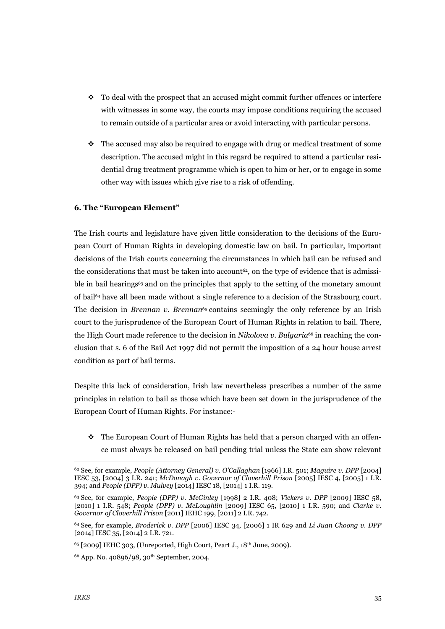- $\cdot$  To deal with the prospect that an accused might commit further offences or interfere with witnesses in some way, the courts may impose conditions requiring the accused to remain outside of a particular area or avoid interacting with particular persons.
- $\cdot \cdot$  The accused may also be required to engage with drug or medical treatment of some description. The accused might in this regard be required to attend a particular residential drug treatment programme which is open to him or her, or to engage in some other way with issues which give rise to a risk of offending.

#### **6. The "European Element"**

The Irish courts and legislature have given little consideration to the decisions of the European Court of Human Rights in developing domestic law on bail. In particular, important decisions of the Irish courts concerning the circumstances in which bail can be refused and the considerations that must be taken into account<sup>62</sup>, on the type of evidence that is admissible in bail hearings<sup>63</sup> and on the principles that apply to the setting of the monetary amount of bail64 have all been made without a single reference to a decision of the Strasbourg court. The decision in *Brennan v. Brennan*<sup>65</sup> contains seemingly the only reference by an Irish court to the jurisprudence of the European Court of Human Rights in relation to bail. There, the High Court made reference to the decision in *Nikolova v. Bulgaria*<sup>66</sup> in reaching the conclusion that s. 6 of the Bail Act 1997 did not permit the imposition of a 24 hour house arrest condition as part of bail terms.

Despite this lack of consideration, Irish law nevertheless prescribes a number of the same principles in relation to bail as those which have been set down in the jurisprudence of the European Court of Human Rights. For instance:-

\* The European Court of Human Rights has held that a person charged with an offence must always be released on bail pending trial unless the State can show relevant

 <sup>62</sup> See, for example, *People (Attorney General) v. O'Callaghan* [1966] I.R. 501; *Maguire v. DPP* [2004] IESC 53, [2004] 3 I.R. 241; *McDonagh v. Governor of Cloverhill Prison* [2005] IESC 4, [2005] 1 I.R. 394; and *People (DPP) v. Mulvey* [2014] IESC 18, [2014] 1 I.R. 119.

<sup>63</sup> See, for example, *People (DPP) v. McGinley* [1998] 2 I.R. 408; *Vickers v. DPP* [2009] IESC 58, [2010] 1 I.R. 548; *People (DPP) v. McLoughlin* [2009] IESC 65, [2010] 1 I.R. 590; and *Clarke v. Governor of Cloverhill Prison* [2011] IEHC 199, [2011] 2 I.R. 742.

<sup>64</sup> See, for example, *Broderick v. DPP* [2006] IESC 34, [2006] 1 IR 629 and *Li Juan Choong v. DPP*  [2014] IESC 35, [2014] 2 I.R. 721.

 $65$  [2009] IEHC 303, (Unreported, High Court, Peart J.,  $18<sup>th</sup>$  June, 2009).

<sup>66</sup> App. No. 40896/98, 30th September, 2004.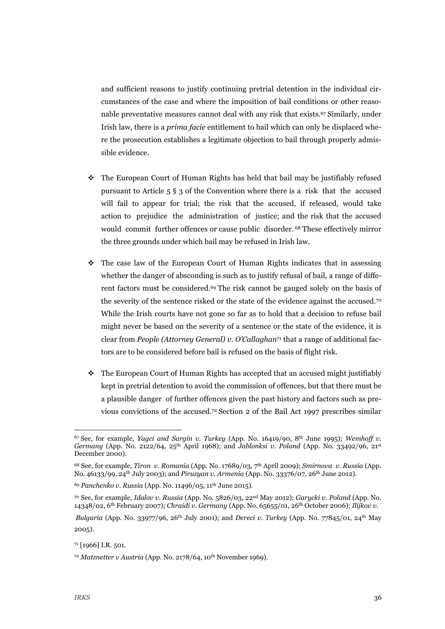and sufficient reasons to justify continuing pretrial detention in the individual circumstances of the case and where the imposition of bail conditions or other reasonable preventative measures cannot deal with any risk that exists.67 Similarly, under Irish law, there is a *prima facie* entitlement to bail which can only be displaced where the prosecution establishes a legitimate objection to bail through properly admissible evidence.

- ! The European Court of Human Rights has held that bail may be justifiably refused pursuant to Article 5 § 3 of the Convention where there is a risk that the accused will fail to appear for trial; the risk that the accused, if released, would take action to prejudice the administration of justice; and the risk that the accused would commit further offences or cause public disorder. 68 These effectively mirror the three grounds under which bail may be refused in Irish law.
- $\cdot$  The case law of the European Court of Human Rights indicates that in assessing whether the danger of absconding is such as to justify refusal of bail, a range of different factors must be considered.69 The risk cannot be gauged solely on the basis of the severity of the sentence risked or the state of the evidence against the accused.70 While the Irish courts have not gone so far as to hold that a decision to refuse bail might never be based on the severity of a sentence or the state of the evidence, it is clear from *People (Attorney General) v. O'Callaghan*<sup>71</sup> that a range of additional factors are to be considered before bail is refused on the basis of flight risk.
- $\cdot$  The European Court of Human Rights has accepted that an accused might justifiably kept in pretrial detention to avoid the commission of offences, but that there must be a plausible danger of further offences given the past history and factors such as previous convictions of the accused.72 Section 2 of the Bail Act 1997 prescribes similar

 <sup>67</sup> See, for example, *Yagci and Sargin v. Turkey* (App. No. 16419/90, 8th June 1995); *Wemhoff v. Germany* (App. No. 2122/64, 25th April 1968); and *Jablonksi v. Poland* (App. No. 33492/96, 21st December 2000).

<sup>68</sup> See, for example, *Tiron v. Romania* (App. No. 17689/03, 7th April 2009); *Smirnova v. Russia* (App. No. 46133/99, 24th July 2003); and *Piruzyan v. Armenia* (App. No. 33376/07, 26th June 2012).

<sup>69</sup> *Panchenko v. Russia* (App. No. 11496/05, 11th June 2015).

<sup>70</sup> See, for example, *Idalov v. Russia* (App. No. 5826/03, 22nd May 2012); *Garycki v. Poland* (App. No. 14348/02, 6th February 2007); *Chraidi v. Germany* (App. No. 65655/01, 26th October 2006); *Ilijkov v.*

*Bulgaria* (App. No. 33977/96, 26th July 2001); and *Dereci v. Turkey* (App. No. 77845/01, 24th May 2005).

<sup>71 [1966]</sup> I.R. 501.

<sup>72</sup> *Matznetter v Austria* (App. No. 2178/64, 10th November 1969).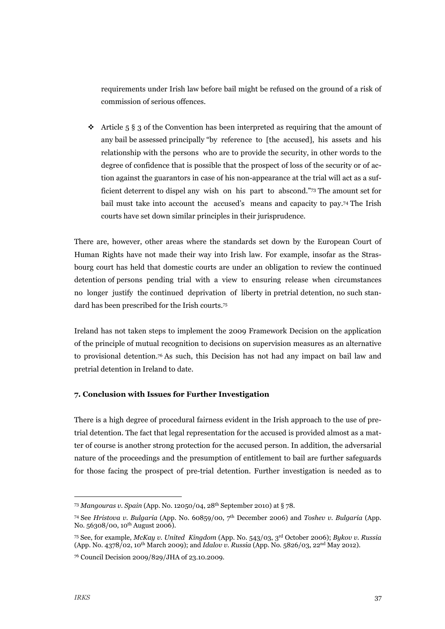requirements under Irish law before bail might be refused on the ground of a risk of commission of serious offences.

 $\cdot$  Article 5 § 3 of the Convention has been interpreted as requiring that the amount of any bail be assessed principally "by reference to [the accused], his assets and his relationship with the persons who are to provide the security, in other words to the degree of confidence that is possible that the prospect of loss of the security or of action against the guarantors in case of his non-appearance at the trial will act as a sufficient deterrent to dispel any wish on his part to abscond."73 The amount set for bail must take into account the accused's means and capacity to pay.74 The Irish courts have set down similar principles in their jurisprudence.

There are, however, other areas where the standards set down by the European Court of Human Rights have not made their way into Irish law. For example, insofar as the Strasbourg court has held that domestic courts are under an obligation to review the continued detention of persons pending trial with a view to ensuring release when circumstances no longer justify the continued deprivation of liberty in pretrial detention, no such standard has been prescribed for the Irish courts.75

Ireland has not taken steps to implement the 2009 Framework Decision on the application of the principle of mutual recognition to decisions on supervision measures as an alternative to provisional detention.76 As such, this Decision has not had any impact on bail law and pretrial detention in Ireland to date.

#### **7. Conclusion with Issues for Further Investigation**

There is a high degree of procedural fairness evident in the Irish approach to the use of pretrial detention. The fact that legal representation for the accused is provided almost as a matter of course is another strong protection for the accused person. In addition, the adversarial nature of the proceedings and the presumption of entitlement to bail are further safeguards for those facing the prospect of pre-trial detention. Further investigation is needed as to

 <sup>73</sup> *Mangouras v. Spain* (App. No. 12050/04, 28th September 2010) at § 78.

<sup>74</sup> See *Hristova v. Bulgaria* (App. No. 60859/00, 7th December 2006) and *Toshev v. Bulgaria* (App. No. 56308/00, 10th August 2006).

<sup>75</sup> See, for example, *McKay v. United Kingdom* (App. No. 543/03, 3rd October 2006); *Bykov v. Russia* (App. No. 4378/02, 10th March 2009); and *Idalov v. Russia* (App. No. 5826/03, 22nd May 2012).

<sup>76</sup> Council Decision 2009/829/JHA of 23.10.2009.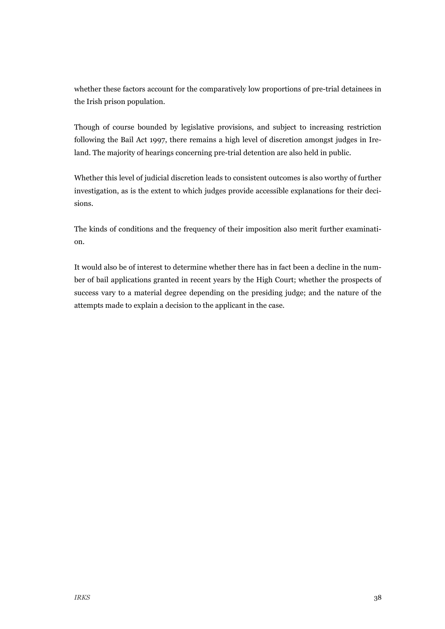whether these factors account for the comparatively low proportions of pre-trial detainees in the Irish prison population.

Though of course bounded by legislative provisions, and subject to increasing restriction following the Bail Act 1997, there remains a high level of discretion amongst judges in Ireland. The majority of hearings concerning pre-trial detention are also held in public.

Whether this level of judicial discretion leads to consistent outcomes is also worthy of further investigation, as is the extent to which judges provide accessible explanations for their decisions.

The kinds of conditions and the frequency of their imposition also merit further examination.

It would also be of interest to determine whether there has in fact been a decline in the number of bail applications granted in recent years by the High Court; whether the prospects of success vary to a material degree depending on the presiding judge; and the nature of the attempts made to explain a decision to the applicant in the case.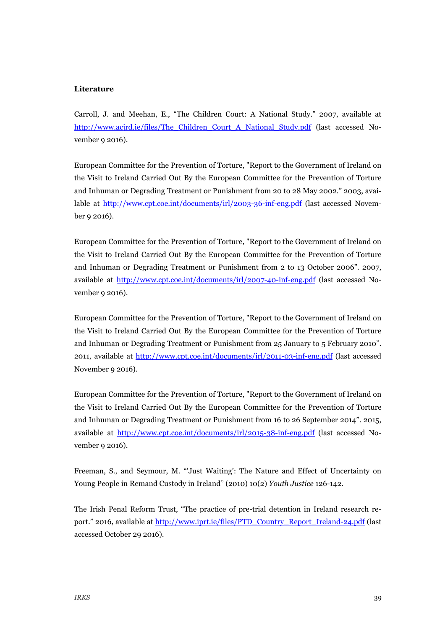#### **Literature**

Carroll, J. and Meehan, E., "The Children Court: A National Study." 2007, available at http://www.acjrd.ie/files/The\_Children\_Court\_A\_National\_Study.pdf (last accessed November 9 2016).

European Committee for the Prevention of Torture, "Report to the Government of Ireland on the Visit to Ireland Carried Out By the European Committee for the Prevention of Torture and Inhuman or Degrading Treatment or Punishment from 20 to 28 May 2002." 2003, available at http://www.cpt.coe.int/documents/irl/2003-36-inf-eng.pdf (last accessed November 9 2016).

European Committee for the Prevention of Torture, "Report to the Government of Ireland on the Visit to Ireland Carried Out By the European Committee for the Prevention of Torture and Inhuman or Degrading Treatment or Punishment from 2 to 13 October 2006". 2007, available at http://www.cpt.coe.int/documents/irl/2007-40-inf-eng.pdf (last accessed November 9 2016).

European Committee for the Prevention of Torture, "Report to the Government of Ireland on the Visit to Ireland Carried Out By the European Committee for the Prevention of Torture and Inhuman or Degrading Treatment or Punishment from 25 January to 5 February 2010". 2011, available at http://www.cpt.coe.int/documents/irl/2011-03-inf-eng.pdf (last accessed November 9 2016).

European Committee for the Prevention of Torture, "Report to the Government of Ireland on the Visit to Ireland Carried Out By the European Committee for the Prevention of Torture and Inhuman or Degrading Treatment or Punishment from 16 to 26 September 2014". 2015, available at http://www.cpt.coe.int/documents/irl/2015-38-inf-eng.pdf (last accessed November 9 2016).

Freeman, S., and Seymour, M. "'Just Waiting': The Nature and Effect of Uncertainty on Young People in Remand Custody in Ireland" (2010) 10(2) *Youth Justice* 126-142.

The Irish Penal Reform Trust, "The practice of pre-trial detention in Ireland research report." 2016, available at http://www.iprt.ie/files/PTD\_Country\_Report\_Ireland-24.pdf (last accessed October 29 2016).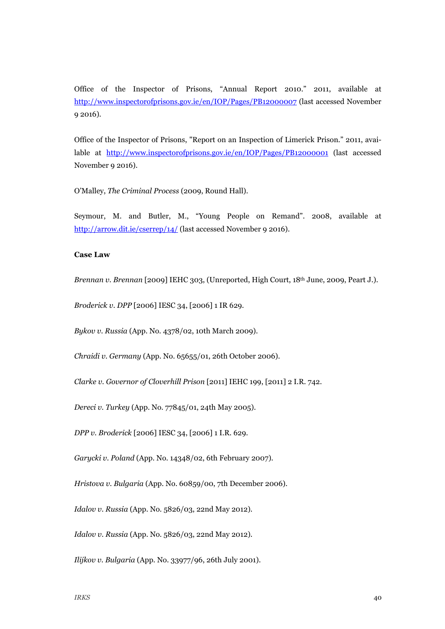Office of the Inspector of Prisons, "Annual Report 2010." 2011, available at http://www.inspectorofprisons.gov.ie/en/IOP/Pages/PB12000007 (last accessed November 9 2016).

Office of the Inspector of Prisons, "Report on an Inspection of Limerick Prison." 2011, available at http://www.inspectorofprisons.gov.ie/en/IOP/Pages/PB12000001 (last accessed November 9 2016).

O'Malley, *The Criminal Process* (2009, Round Hall).

Seymour, M. and Butler, M., "Young People on Remand". 2008, available at http://arrow.dit.ie/cserrep/14/ (last accessed November 9 2016).

#### **Case Law**

*Brennan v. Brennan* [2009] IEHC 303, (Unreported, High Court, 18th June, 2009, Peart J.).

*Broderick v. DPP* [2006] IESC 34, [2006] 1 IR 629.

*Bykov v. Russia* (App. No. 4378/02, 10th March 2009).

*Chraidi v. Germany* (App. No. 65655/01, 26th October 2006).

*Clarke v. Governor of Cloverhill Prison* [2011] IEHC 199, [2011] 2 I.R. 742.

*Dereci v. Turkey* (App. No. 77845/01, 24th May 2005).

*DPP v. Broderick* [2006] IESC 34, [2006] 1 I.R. 629.

*Garycki v. Poland* (App. No. 14348/02, 6th February 2007).

*Hristova v. Bulgaria* (App. No. 60859/00, 7th December 2006).

*Idalov v. Russia* (App. No. 5826/03, 22nd May 2012).

*Idalov v. Russia* (App. No. 5826/03, 22nd May 2012).

*Ilijkov v. Bulgaria* (App. No. 33977/96, 26th July 2001).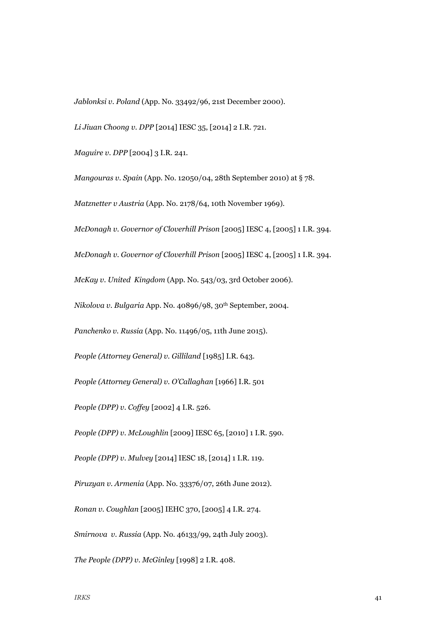*Jablonksi v. Poland* (App. No. 33492/96, 21st December 2000).

*Li Jiuan Choong v. DPP* [2014] IESC 35, [2014] 2 I.R. 721.

*Maguire v. DPP* [2004] 3 I.R. 241.

*Mangouras v. Spain* (App. No. 12050/04, 28th September 2010) at § 78. *Matznetter v Austria* (App. No. 2178/64, 10th November 1969).

*McDonagh v. Governor of Cloverhill Prison* [2005] IESC 4, [2005] 1 I.R. 394.

*McDonagh v. Governor of Cloverhill Prison* [2005] IESC 4, [2005] 1 I.R. 394.

*McKay v. United Kingdom* (App. No. 543/03, 3rd October 2006).

*Nikolova v. Bulgaria* App. No. 40896/98, 30th September, 2004.

*Panchenko v. Russia* (App. No. 11496/05, 11th June 2015).

*People (Attorney General) v. Gilliland* [1985] I.R. 643.

*People (Attorney General) v. O'Callaghan* [1966] I.R. 501

*People (DPP) v. Coffey* [2002] 4 I.R. 526.

*People (DPP) v. McLoughlin* [2009] IESC 65, [2010] 1 I.R. 590.

*People (DPP) v. Mulvey* [2014] IESC 18, [2014] 1 I.R. 119.

*Piruzyan v. Armenia* (App. No. 33376/07, 26th June 2012).

*Ronan v. Coughlan* [2005] IEHC 370, [2005] 4 I.R. 274.

*Smirnova v. Russia* (App. No. 46133/99, 24th July 2003).

*The People (DPP) v. McGinley* [1998] 2 I.R. 408.